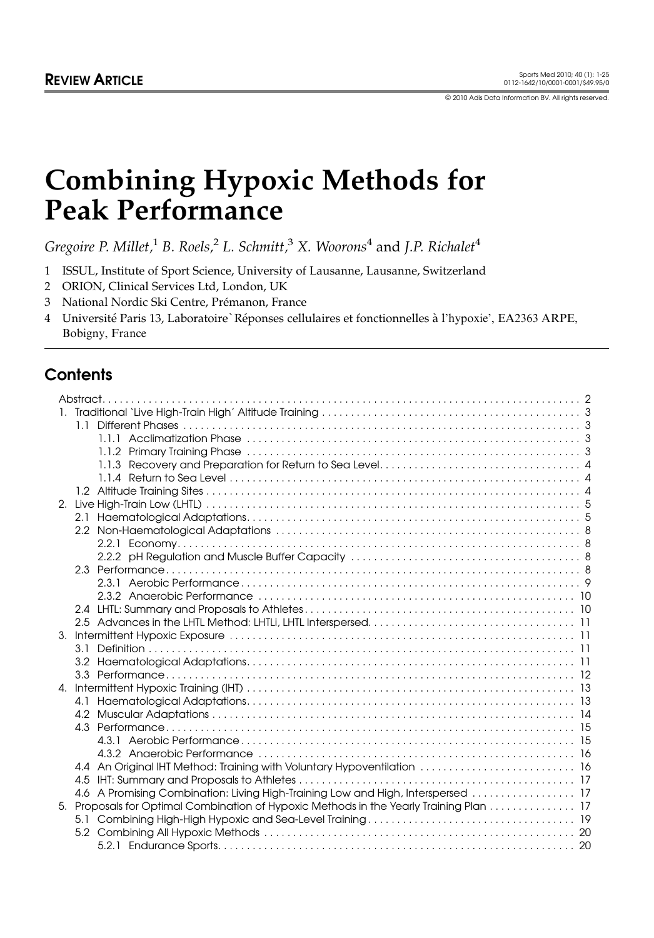© 2010 Adis Data Information BV. All rights reserved.

# Combining Hypoxic Methods for Peak Performance

Gregoire P. Millet,<sup>1</sup> B. Roels,<sup>2</sup> L. Schmitt,<sup>3</sup> X. Woorons<sup>4</sup> and J.P. Richalet<sup>4</sup>

1 ISSUL, Institute of Sport Science, University of Lausanne, Lausanne, Switzerland

2 ORION, Clinical Services Ltd, London, UK

3 National Nordic Ski Centre, Prémanon, France

4 Université Paris 13, Laboratoire `Réponses cellulaires et fonctionnelles à l'hypoxie', EA2363 ARPE, Bobigny, France

# **Contents**

| 4.4 An Original IHT Method: Training with Voluntary Hypoventilation  16                 |
|-----------------------------------------------------------------------------------------|
|                                                                                         |
| 4.6 A Promising Combination: Living High-Training Low and High, Interspersed  17        |
| 5. Proposals for Optimal Combination of Hypoxic Methods in the Yearly Training Plan  17 |
|                                                                                         |
|                                                                                         |
|                                                                                         |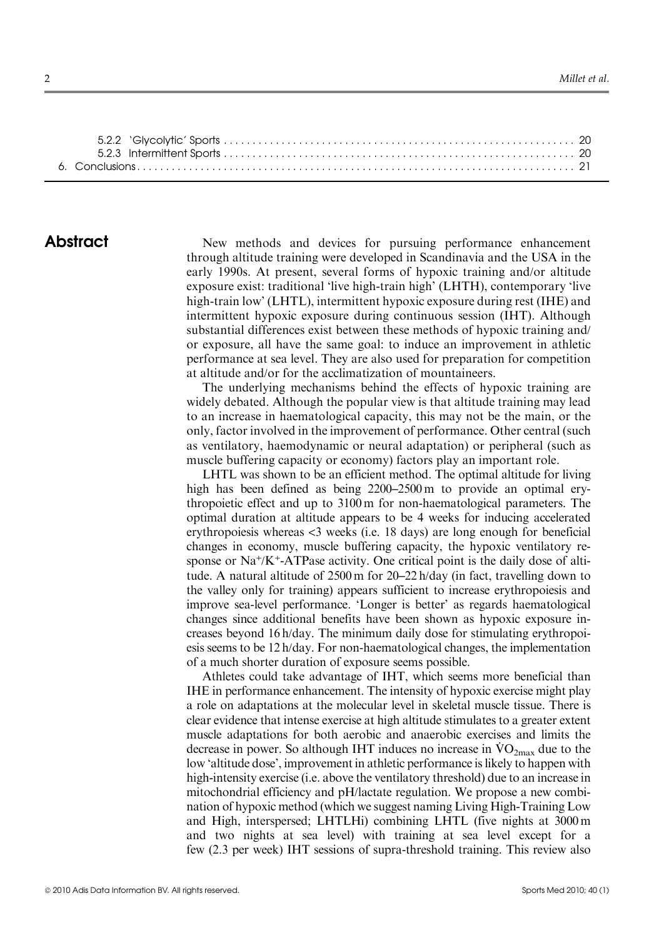**Abstract** New methods and devices for pursuing performance enhancement through altitude training were developed in Scandinavia and the USA in the early 1990s. At present, several forms of hypoxic training and/or altitude exposure exist: traditional 'live high-train high' (LHTH), contemporary 'live high-train low' (LHTL), intermittent hypoxic exposure during rest (IHE) and intermittent hypoxic exposure during continuous session (IHT). Although substantial differences exist between these methods of hypoxic training and/ or exposure, all have the same goal: to induce an improvement in athletic performance at sea level. They are also used for preparation for competition at altitude and/or for the acclimatization of mountaineers.

> The underlying mechanisms behind the effects of hypoxic training are widely debated. Although the popular view is that altitude training may lead to an increase in haematological capacity, this may not be the main, or the only, factor involved in the improvement of performance. Other central (such as ventilatory, haemodynamic or neural adaptation) or peripheral (such as muscle buffering capacity or economy) factors play an important role.

> LHTL was shown to be an efficient method. The optimal altitude for living high has been defined as being 2200–2500 m to provide an optimal erythropoietic effect and up to 3100 m for non-haematological parameters. The optimal duration at altitude appears to be 4 weeks for inducing accelerated erythropoiesis whereas <3 weeks (i.e. 18 days) are long enough for beneficial changes in economy, muscle buffering capacity, the hypoxic ventilatory response or  $Na^+/K^+$ -ATPase activity. One critical point is the daily dose of altitude. A natural altitude of 2500 m for 20–22 h/day (in fact, travelling down to the valley only for training) appears sufficient to increase erythropoiesis and improve sea-level performance. 'Longer is better' as regards haematological changes since additional benefits have been shown as hypoxic exposure increases beyond 16 h/day. The minimum daily dose for stimulating erythropoiesis seems to be 12 h/day. For non-haematological changes, the implementation of a much shorter duration of exposure seems possible.

> Athletes could take advantage of IHT, which seems more beneficial than IHE in performance enhancement. The intensity of hypoxic exercise might play a role on adaptations at the molecular level in skeletal muscle tissue. There is clear evidence that intense exercise at high altitude stimulates to a greater extent muscle adaptations for both aerobic and anaerobic exercises and limits the muscle adaptations for both aerobic and anaerobic exercises and films the decrease in power. So although IHT induces no increase in  $\rm{VO}_{2max}$  due to the low 'altitude dose', improvement in athletic performance is likely to happen with high-intensity exercise (i.e. above the ventilatory threshold) due to an increase in mitochondrial efficiency and pH/lactate regulation. We propose a new combination of hypoxic method (which we suggest naming Living High-Training Low and High, interspersed; LHTLHi) combining LHTL (five nights at 3000 m and two nights at sea level) with training at sea level except for a few (2.3 per week) IHT sessions of supra-threshold training. This review also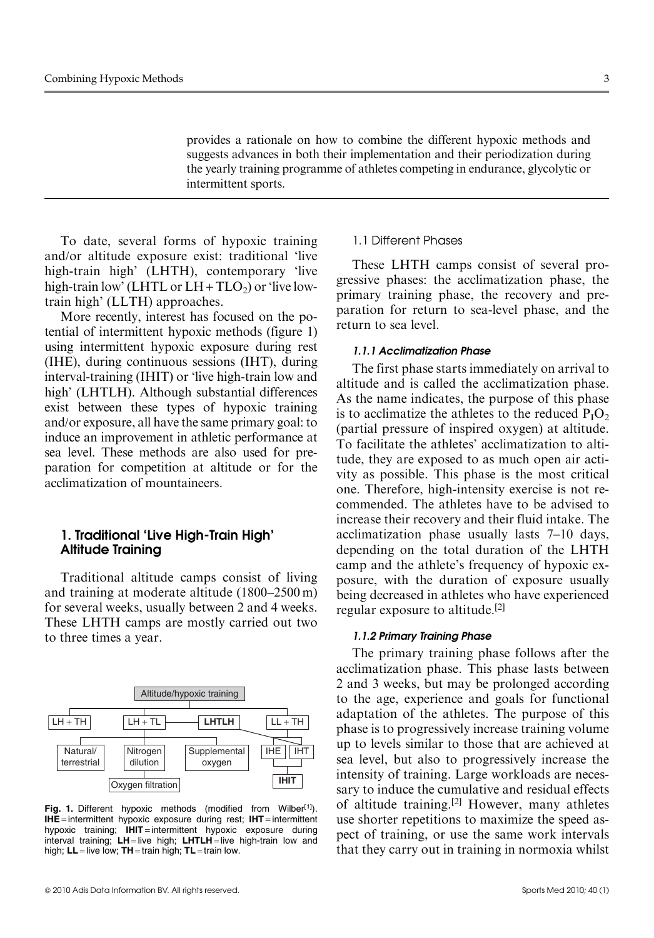provides a rationale on how to combine the different hypoxic methods and suggests advances in both their implementation and their periodization during

To date, several forms of hypoxic training and/or altitude exposure exist: traditional 'live high-train high' (LHTH), contemporary 'live high-train low' (LHTL or  $LH + TLO<sub>2</sub>$ ) or 'live lowtrain high' (LLTH) approaches.

intermittent sports.

More recently, interest has focused on the potential of intermittent hypoxic methods (figure 1) using intermittent hypoxic exposure during rest (IHE), during continuous sessions (IHT), during interval-training (IHIT) or 'live high-train low and high' (LHTLH). Although substantial differences exist between these types of hypoxic training and/or exposure, all have the same primary goal: to induce an improvement in athletic performance at sea level. These methods are also used for preparation for competition at altitude or for the acclimatization of mountaineers.

# 1. Traditional 'Live High-Train High' Altitude Training

Traditional altitude camps consist of living and training at moderate altitude (1800–2500 m) for several weeks, usually between 2 and 4 weeks. These LHTH camps are mostly carried out two to three times a year.



Fig. 1. Different hypoxic methods (modified from Wilber<sup>[1]</sup>).  $IHE$  = intermittent hypoxic exposure during rest;  $IHT$  = intermittent hypoxic training;  $I$ HIT = intermittent hypoxic exposure during interval training;  $LH =$  live high;  $LHTLH =$  live high-train low and high;  $LL =$  live low;  $TH =$  train high;  $TL =$  train low.

# 1.1 Different Phases

the yearly training programme of athletes competing in endurance, glycolytic or

These LHTH camps consist of several progressive phases: the acclimatization phase, the primary training phase, the recovery and preparation for return to sea-level phase, and the return to sea level.

# 1.1.1 Acclimatization Phase

The first phase starts immediately on arrival to altitude and is called the acclimatization phase. As the name indicates, the purpose of this phase is to acclimatize the athletes to the reduced  $P_1O_2$ (partial pressure of inspired oxygen) at altitude. To facilitate the athletes' acclimatization to altitude, they are exposed to as much open air activity as possible. This phase is the most critical one. Therefore, high-intensity exercise is not recommended. The athletes have to be advised to increase their recovery and their fluid intake. The acclimatization phase usually lasts 7–10 days, depending on the total duration of the LHTH camp and the athlete's frequency of hypoxic exposure, with the duration of exposure usually being decreased in athletes who have experienced regular exposure to altitude.[2]

#### 1.1.2 Primary Training Phase

The primary training phase follows after the acclimatization phase. This phase lasts between 2 and 3 weeks, but may be prolonged according to the age, experience and goals for functional adaptation of the athletes. The purpose of this phase is to progressively increase training volume up to levels similar to those that are achieved at sea level, but also to progressively increase the intensity of training. Large workloads are necessary to induce the cumulative and residual effects of altitude training.<sup>[2]</sup> However, many athletes use shorter repetitions to maximize the speed aspect of training, or use the same work intervals that they carry out in training in normoxia whilst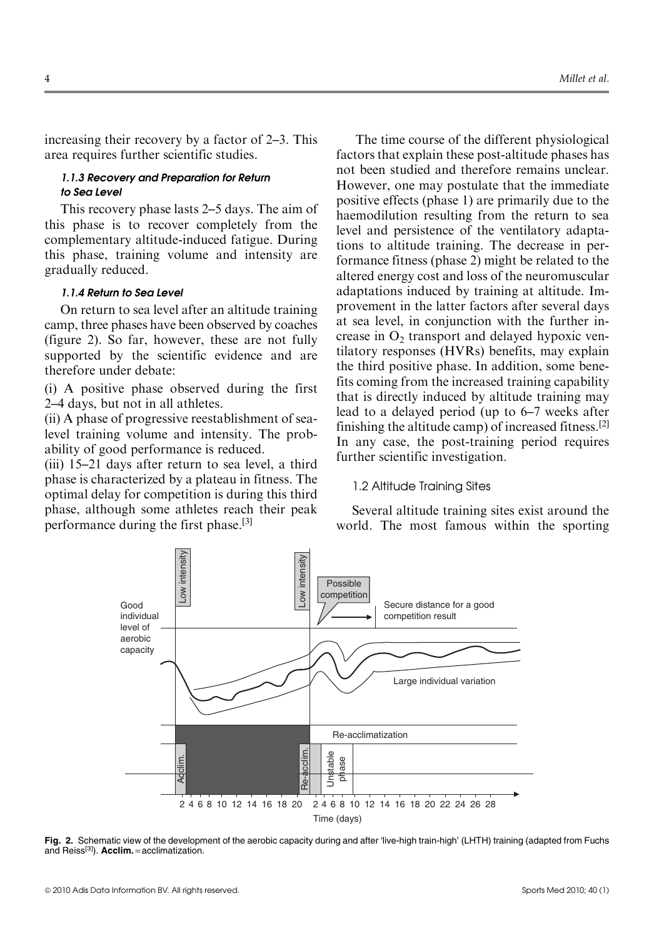increasing their recovery by a factor of 2–3. This area requires further scientific studies.

### 1.1.3 Recovery and Preparation for Return to Sea Level

This recovery phase lasts 2–5 days. The aim of this phase is to recover completely from the complementary altitude-induced fatigue. During this phase, training volume and intensity are gradually reduced.

#### 1.1.4 Return to Sea Level

On return to sea level after an altitude training camp, three phases have been observed by coaches (figure 2). So far, however, these are not fully supported by the scientific evidence and are therefore under debate:

(i) A positive phase observed during the first 2–4 days, but not in all athletes.

(ii) A phase of progressive reestablishment of sealevel training volume and intensity. The probability of good performance is reduced.

(iii) 15–21 days after return to sea level, a third phase is characterized by a plateau in fitness. The optimal delay for competition is during this third phase, although some athletes reach their peak performance during the first phase.[3]

The time course of the different physiological factors that explain these post-altitude phases has not been studied and therefore remains unclear. However, one may postulate that the immediate positive effects (phase 1) are primarily due to the haemodilution resulting from the return to sea level and persistence of the ventilatory adaptations to altitude training. The decrease in performance fitness (phase 2) might be related to the altered energy cost and loss of the neuromuscular adaptations induced by training at altitude. Improvement in the latter factors after several days at sea level, in conjunction with the further increase in  $O<sub>2</sub>$  transport and delayed hypoxic ventilatory responses (HVRs) benefits, may explain the third positive phase. In addition, some benefits coming from the increased training capability that is directly induced by altitude training may lead to a delayed period (up to 6–7 weeks after finishing the altitude camp) of increased fitness.<sup>[2]</sup> In any case, the post-training period requires further scientific investigation.

#### 1.2 Altitude Training Sites

Several altitude training sites exist around the world. The most famous within the sporting



Fig. 2. Schematic view of the development of the aerobic capacity during and after 'live-high train-high' (LHTH) training (adapted from Fuchs and Reiss[3]). Acclim. = acclimatization.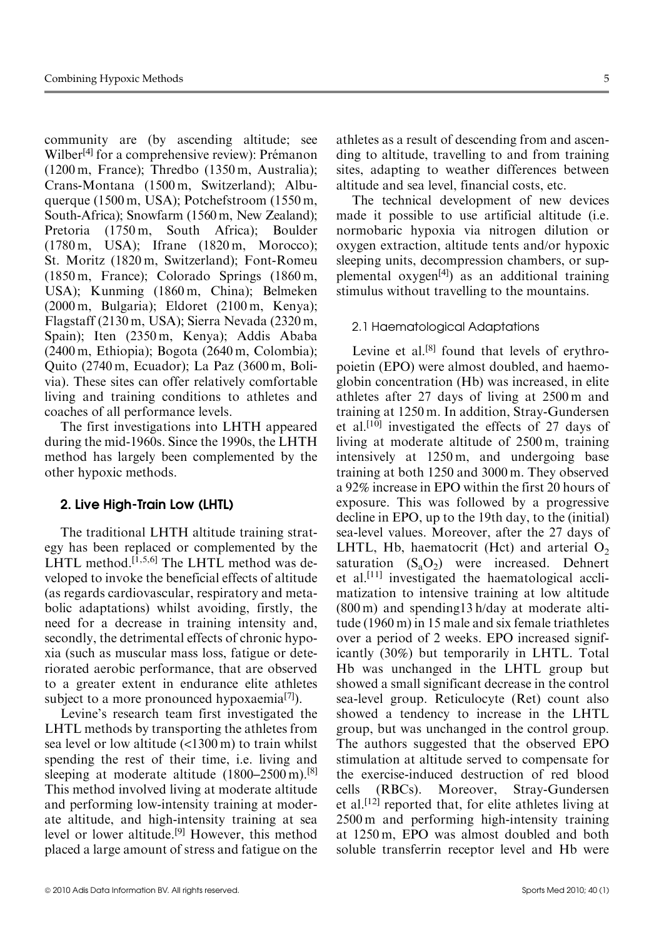community are (by ascending altitude; see Wilber<sup>[4]</sup> for a comprehensive review): Prémanon (1200 m, France); Thredbo (1350 m, Australia); Crans-Montana (1500 m, Switzerland); Albuquerque (1500 m, USA); Potchefstroom (1550 m, South-Africa); Snowfarm (1560 m, New Zealand); Pretoria (1750 m, South Africa); Boulder (1780 m, USA); Ifrane (1820 m, Morocco); St. Moritz (1820 m, Switzerland); Font-Romeu (1850 m, France); Colorado Springs (1860 m, USA); Kunming (1860 m, China); Belmeken (2000 m, Bulgaria); Eldoret (2100 m, Kenya); Flagstaff (2130 m, USA); Sierra Nevada (2320 m, Spain); Iten (2350 m, Kenya); Addis Ababa (2400 m, Ethiopia); Bogota (2640 m, Colombia); Quito (2740 m, Ecuador); La Paz (3600 m, Bolivia). These sites can offer relatively comfortable living and training conditions to athletes and coaches of all performance levels.

The first investigations into LHTH appeared during the mid-1960s. Since the 1990s, the LHTH method has largely been complemented by the other hypoxic methods.

# 2. Live High-Train Low (LHTL)

The traditional LHTH altitude training strategy has been replaced or complemented by the LHTL method.<sup>[1,5,6]</sup> The LHTL method was developed to invoke the beneficial effects of altitude (as regards cardiovascular, respiratory and metabolic adaptations) whilst avoiding, firstly, the need for a decrease in training intensity and, secondly, the detrimental effects of chronic hypoxia (such as muscular mass loss, fatigue or deteriorated aerobic performance, that are observed to a greater extent in endurance elite athletes subject to a more pronounced hypoxaemia<sup>[7]</sup>).

Levine's research team first investigated the LHTL methods by transporting the athletes from sea level or low altitude (<1300 m) to train whilst spending the rest of their time, i.e. living and sleeping at moderate altitude (1800–2500 m).<sup>[8]</sup> This method involved living at moderate altitude and performing low-intensity training at moderate altitude, and high-intensity training at sea level or lower altitude.[9] However, this method placed a large amount of stress and fatigue on the

athletes as a result of descending from and ascending to altitude, travelling to and from training sites, adapting to weather differences between altitude and sea level, financial costs, etc.

The technical development of new devices made it possible to use artificial altitude (i.e. normobaric hypoxia via nitrogen dilution or oxygen extraction, altitude tents and/or hypoxic sleeping units, decompression chambers, or supplemental  $oxygen<sup>[4]</sup>$  as an additional training stimulus without travelling to the mountains.

# 2.1 Haematological Adaptations

Levine et al. $[8]$  found that levels of erythropoietin (EPO) were almost doubled, and haemoglobin concentration (Hb) was increased, in elite athletes after 27 days of living at 2500 m and training at 1250 m. In addition, Stray-Gundersen et al.[10] investigated the effects of 27 days of living at moderate altitude of 2500 m, training intensively at 1250 m, and undergoing base training at both 1250 and 3000 m. They observed a 92% increase in EPO within the first 20 hours of exposure. This was followed by a progressive decline in EPO, up to the 19th day, to the (initial) sea-level values. Moreover, after the 27 days of LHTL, Hb, haematocrit (Hct) and arterial  $O<sub>2</sub>$ saturation  $(S_aO_2)$  were increased. Dehnert et al.<sup>[11]</sup> investigated the haematological acclimatization to intensive training at low altitude (800 m) and spending13 h/day at moderate altitude (1960 m) in 15 male and six female triathletes over a period of 2 weeks. EPO increased significantly (30%) but temporarily in LHTL. Total Hb was unchanged in the LHTL group but showed a small significant decrease in the control sea-level group. Reticulocyte (Ret) count also showed a tendency to increase in the LHTL group, but was unchanged in the control group. The authors suggested that the observed EPO stimulation at altitude served to compensate for the exercise-induced destruction of red blood cells (RBCs). Moreover, Stray-Gundersen et al.<sup>[12]</sup> reported that, for elite athletes living at 2500 m and performing high-intensity training at 1250 m, EPO was almost doubled and both soluble transferrin receptor level and Hb were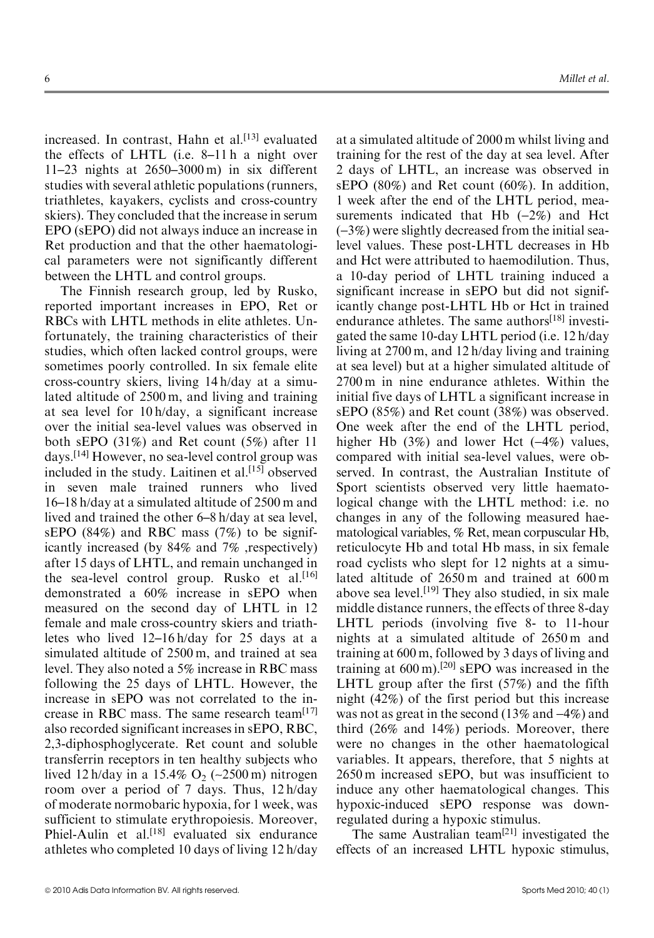increased. In contrast, Hahn et al.<sup>[13]</sup> evaluated the effects of LHTL (i.e. 8–11 h a night over 11–23 nights at 2650–3000 m) in six different studies with several athletic populations (runners, triathletes, kayakers, cyclists and cross-country skiers). They concluded that the increase in serum EPO (sEPO) did not always induce an increase in Ret production and that the other haematological parameters were not significantly different between the LHTL and control groups.

The Finnish research group, led by Rusko, reported important increases in EPO, Ret or RBCs with LHTL methods in elite athletes. Unfortunately, the training characteristics of their studies, which often lacked control groups, were sometimes poorly controlled. In six female elite cross-country skiers, living 14 h/day at a simulated altitude of 2500 m, and living and training at sea level for 10 h/day, a significant increase over the initial sea-level values was observed in both sEPO (31%) and Ret count (5%) after 11 days.[14] However, no sea-level control group was included in the study. Laitinen et al.<sup>[15]</sup> observed in seven male trained runners who lived 16–18 h/day at a simulated altitude of 2500 m and lived and trained the other 6–8 h/day at sea level, sEPO (84%) and RBC mass (7%) to be significantly increased (by 84% and 7% ,respectively) after 15 days of LHTL, and remain unchanged in the sea-level control group. Rusko et al.<sup>[16]</sup> demonstrated a 60% increase in sEPO when measured on the second day of LHTL in 12 female and male cross-country skiers and triathletes who lived 12–16 h/day for 25 days at a simulated altitude of 2500 m, and trained at sea level. They also noted a 5% increase in RBC mass following the 25 days of LHTL. However, the increase in sEPO was not correlated to the increase in RBC mass. The same research team<sup>[17]</sup> also recorded significant increases in sEPO, RBC, 2,3-diphosphoglycerate. Ret count and soluble transferrin receptors in ten healthy subjects who lived 12 h/day in a 15.4%  $O_2$  (~2500 m) nitrogen room over a period of 7 days. Thus, 12 h/day of moderate normobaric hypoxia, for 1 week, was sufficient to stimulate erythropoiesis. Moreover, Phiel-Aulin et al.<sup>[18]</sup> evaluated six endurance athletes who completed 10 days of living 12 h/day at a simulated altitude of 2000 m whilst living and training for the rest of the day at sea level. After 2 days of LHTL, an increase was observed in sEPO (80%) and Ret count (60%). In addition, 1 week after the end of the LHTL period, measurements indicated that Hb  $(-2\%)$  and Hct  $(-3%)$  were slightly decreased from the initial sealevel values. These post-LHTL decreases in Hb and Hct were attributed to haemodilution. Thus, a 10-day period of LHTL training induced a significant increase in sEPO but did not significantly change post-LHTL Hb or Hct in trained endurance athletes. The same authors<sup>[18]</sup> investigated the same 10-day LHTL period (i.e. 12 h/day living at 2700 m, and 12 h/day living and training at sea level) but at a higher simulated altitude of 2700 m in nine endurance athletes. Within the initial five days of LHTL a significant increase in sEPO (85%) and Ret count (38%) was observed. One week after the end of the LHTL period, higher Hb  $(3\%)$  and lower Hct  $(-4\%)$  values, compared with initial sea-level values, were observed. In contrast, the Australian Institute of Sport scientists observed very little haematological change with the LHTL method: i.e. no changes in any of the following measured haematological variables, % Ret, mean corpuscular Hb, reticulocyte Hb and total Hb mass, in six female road cyclists who slept for 12 nights at a simulated altitude of 2650 m and trained at 600 m above sea level.<sup>[19]</sup> They also studied, in six male middle distance runners, the effects of three 8-day LHTL periods (involving five 8- to 11-hour nights at a simulated altitude of 2650 m and training at 600 m, followed by 3 days of living and training at  $600 \text{ m}$ .<sup>[20]</sup> sEPO was increased in the LHTL group after the first (57%) and the fifth night (42%) of the first period but this increase was not as great in the second  $(13\% \text{ and } -4\%)$  and third (26% and 14%) periods. Moreover, there were no changes in the other haematological variables. It appears, therefore, that 5 nights at 2650 m increased sEPO, but was insufficient to induce any other haematological changes. This hypoxic-induced sEPO response was downregulated during a hypoxic stimulus.

The same Australian team<sup>[21]</sup> investigated the effects of an increased LHTL hypoxic stimulus,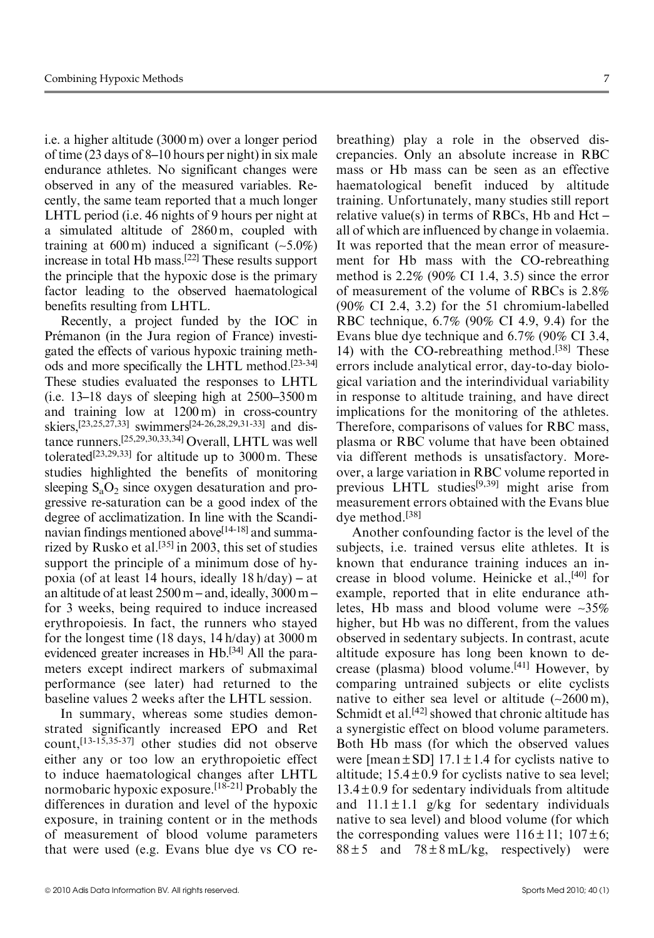i.e. a higher altitude (3000 m) over a longer period of time (23 days of 8–10 hours per night) in six male endurance athletes. No significant changes were observed in any of the measured variables. Recently, the same team reported that a much longer LHTL period (i.e. 46 nights of 9 hours per night at a simulated altitude of 2860 m, coupled with training at  $600 \text{ m}$ ) induced a significant  $(-5.0\%)$ increase in total Hb mass.[22] These results support the principle that the hypoxic dose is the primary factor leading to the observed haematological benefits resulting from LHTL.

Recently, a project funded by the IOC in Prémanon (in the Jura region of France) investigated the effects of various hypoxic training methods and more specifically the LHTL method.[23-34] These studies evaluated the responses to LHTL (i.e. 13–18 days of sleeping high at 2500–3500 m and training low at 1200 m) in cross-country skiers,[23,25,27,33] swimmers[24-26,28,29,31-33] and distance runners.[25,29,30,33,34] Overall, LHTL was well tolerated<sup>[23,29,33]</sup> for altitude up to  $3000 \text{ m}$ . These studies highlighted the benefits of monitoring sleeping  $S_aO_2$  since oxygen desaturation and progressive re-saturation can be a good index of the degree of acclimatization. In line with the Scandinavian findings mentioned above<sup>[14-18]</sup> and summarized by Rusko et al.<sup>[35]</sup> in 2003, this set of studies support the principle of a minimum dose of hypoxia (of at least 14 hours, ideally 18 h/day) – at an altitude of at least 2500 m – and, ideally, 3000 m – for 3 weeks, being required to induce increased erythropoiesis. In fact, the runners who stayed for the longest time (18 days, 14 h/day) at 3000 m evidenced greater increases in Hb.[34] All the parameters except indirect markers of submaximal performance (see later) had returned to the baseline values 2 weeks after the LHTL session.

In summary, whereas some studies demonstrated significantly increased EPO and Ret count,[13-15,35-37] other studies did not observe either any or too low an erythropoietic effect to induce haematological changes after LHTL normobaric hypoxic exposure.[18-21] Probably the differences in duration and level of the hypoxic exposure, in training content or in the methods of measurement of blood volume parameters that were used (e.g. Evans blue dye vs CO rebreathing) play a role in the observed discrepancies. Only an absolute increase in RBC mass or Hb mass can be seen as an effective haematological benefit induced by altitude training. Unfortunately, many studies still report relative value(s) in terms of RBCs, Hb and Hct – all of which are influenced by change in volaemia. It was reported that the mean error of measurement for Hb mass with the CO-rebreathing method is 2.2% (90% CI 1.4, 3.5) since the error of measurement of the volume of RBCs is 2.8% (90% CI 2.4, 3.2) for the 51 chromium-labelled RBC technique, 6.7% (90% CI 4.9, 9.4) for the Evans blue dye technique and 6.7% (90% CI 3.4, 14) with the CO-rebreathing method.[38] These errors include analytical error, day-to-day biological variation and the interindividual variability in response to altitude training, and have direct implications for the monitoring of the athletes. Therefore, comparisons of values for RBC mass, plasma or RBC volume that have been obtained via different methods is unsatisfactory. Moreover, a large variation in RBC volume reported in previous LHTL studies[9,39] might arise from measurement errors obtained with the Evans blue dye method.[38]

Another confounding factor is the level of the subjects, i.e. trained versus elite athletes. It is known that endurance training induces an increase in blood volume. Heinicke et al.,<sup>[40]</sup> for example, reported that in elite endurance athletes, Hb mass and blood volume were ~35% higher, but Hb was no different, from the values observed in sedentary subjects. In contrast, acute altitude exposure has long been known to decrease (plasma) blood volume.[41] However, by comparing untrained subjects or elite cyclists native to either sea level or altitude  $(-2600 \text{ m})$ , Schmidt et al.<sup>[42]</sup> showed that chronic altitude has a synergistic effect on blood volume parameters. Both Hb mass (for which the observed values were [mean  $\pm$  SD] 17.1  $\pm$  1.4 for cyclists native to altitude;  $15.4 \pm 0.9$  for cyclists native to sea level;  $13.4 \pm 0.9$  for sedentary individuals from altitude and  $11.1 \pm 1.1$  g/kg for sedentary individuals native to sea level) and blood volume (for which the corresponding values were  $116 \pm 11$ ;  $107 \pm 6$ ;  $88 \pm 5$  and  $78 \pm 8$  mL/kg, respectively) were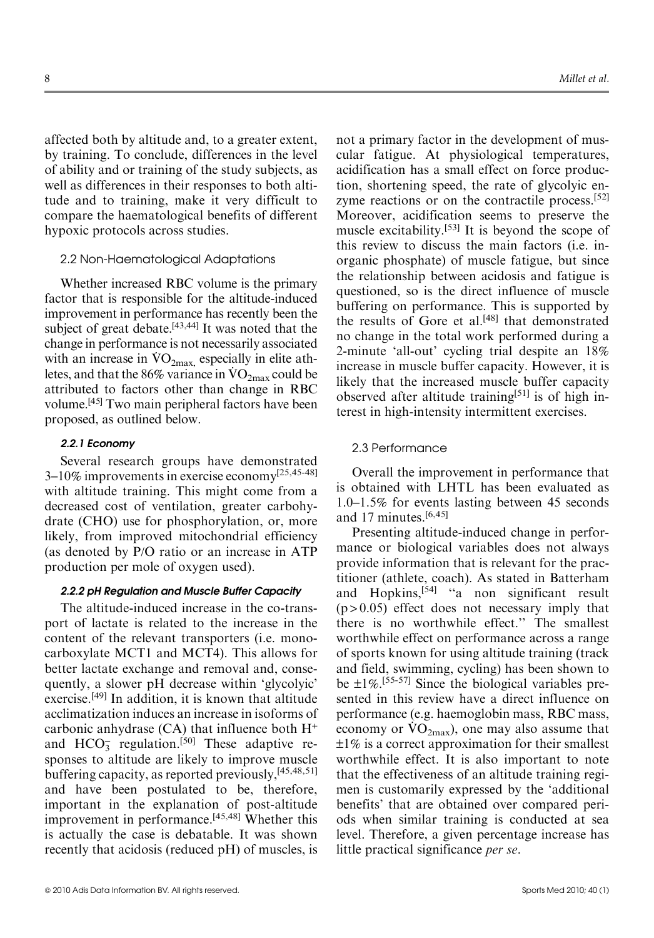affected both by altitude and, to a greater extent, by training. To conclude, differences in the level of ability and or training of the study subjects, as well as differences in their responses to both altitude and to training, make it very difficult to compare the haematological benefits of different hypoxic protocols across studies.

# 2.2 Non-Haematological Adaptations

Whether increased RBC volume is the primary factor that is responsible for the altitude-induced improvement in performance has recently been the subject of great debate.<sup>[43,44]</sup> It was noted that the change in performance is not necessarily associated change in performance is not necessarily associated with an increase in  $\rm{VO}_{2max}$ , especially in elite athwith an increase in  $\rm{VO}_{2max}$ , especially in either ath-<br>letes, and that the 86% variance in  $\rm{VO}_{2max}$  could be attributed to factors other than change in RBC volume.[45] Two main peripheral factors have been proposed, as outlined below.

#### 2.2.1 Economy

Several research groups have demonstrated 3–10% improvements in exercise economy[25,45-48] with altitude training. This might come from a decreased cost of ventilation, greater carbohydrate (CHO) use for phosphorylation, or, more likely, from improved mitochondrial efficiency (as denoted by P/O ratio or an increase in ATP production per mole of oxygen used).

#### 2.2.2 pH Regulation and Muscle Buffer Capacity

The altitude-induced increase in the co-transport of lactate is related to the increase in the content of the relevant transporters (i.e. monocarboxylate MCT1 and MCT4). This allows for better lactate exchange and removal and, consequently, a slower pH decrease within 'glycolyic' exercise.[49] In addition, it is known that altitude acclimatization induces an increase in isoforms of carbonic anhydrase  $(CA)$  that influence both  $H^+$ and  $HCO<sub>3</sub><sup>-</sup>$  regulation.<sup>[50]</sup> These adaptive responses to altitude are likely to improve muscle buffering capacity, as reported previously,[45,48,51] and have been postulated to be, therefore, important in the explanation of post-altitude improvement in performance.[45,48] Whether this is actually the case is debatable. It was shown recently that acidosis (reduced pH) of muscles, is

not a primary factor in the development of muscular fatigue. At physiological temperatures, acidification has a small effect on force production, shortening speed, the rate of glycolyic enzyme reactions or on the contractile process.<sup>[52]</sup> Moreover, acidification seems to preserve the muscle excitability.[53] It is beyond the scope of this review to discuss the main factors (i.e. inorganic phosphate) of muscle fatigue, but since the relationship between acidosis and fatigue is questioned, so is the direct influence of muscle buffering on performance. This is supported by the results of Gore et al.[48] that demonstrated no change in the total work performed during a 2-minute 'all-out' cycling trial despite an 18% increase in muscle buffer capacity. However, it is likely that the increased muscle buffer capacity observed after altitude training<sup>[51]</sup> is of high interest in high-intensity intermittent exercises.

# 2.3 Performance

Overall the improvement in performance that is obtained with LHTL has been evaluated as 1.0–1.5% for events lasting between 45 seconds and 17 minutes.[6,45]

Presenting altitude-induced change in performance or biological variables does not always provide information that is relevant for the practitioner (athlete, coach). As stated in Batterham and Hopkins,[54] ''a non significant result  $(p > 0.05)$  effect does not necessary imply that there is no worthwhile effect.'' The smallest worthwhile effect on performance across a range of sports known for using altitude training (track and field, swimming, cycling) has been shown to be  $\pm 1\%$ . [55-57] Since the biological variables presented in this review have a direct influence on performance (e.g. haemoglobin mass, RBC mass, performance (e.g. naemogroom mass,  $RDC$  mass, economy or  $VO_{2max}$ ), one may also assume that  $\pm 1\%$  is a correct approximation for their smallest worthwhile effect. It is also important to note that the effectiveness of an altitude training regimen is customarily expressed by the 'additional benefits' that are obtained over compared periods when similar training is conducted at sea level. Therefore, a given percentage increase has little practical significance per se.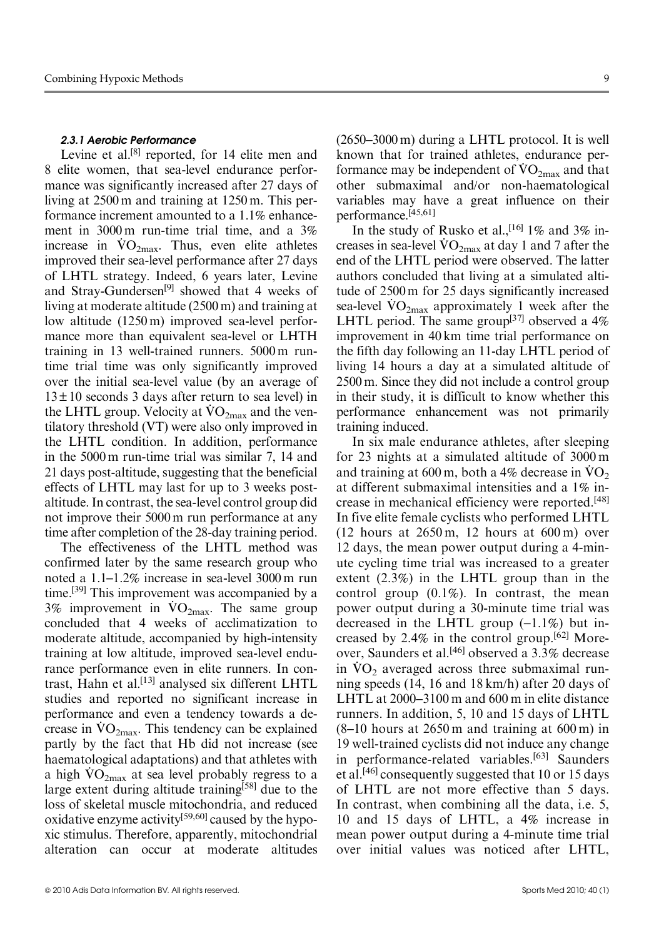#### 2.3.1 Aerobic Performance

Levine et al.<sup>[8]</sup> reported, for 14 elite men and 8 elite women, that sea-level endurance performance was significantly increased after 27 days of living at 2500 m and training at 1250 m. This performance increment amounted to a 1.1% enhancement in 3000 m run-time trial time, and a 3% increase in  $\rm{VO}_{2\text{max}}$ . Thus, even elite athletes improved their sea-level performance after 27 days of LHTL strategy. Indeed, 6 years later, Levine and Stray-Gundersen<sup>[9]</sup> showed that 4 weeks of living at moderate altitude (2500 m) and training at low altitude (1250 m) improved sea-level performance more than equivalent sea-level or LHTH training in 13 well-trained runners. 5000 m runtime trial time was only significantly improved over the initial sea-level value (by an average of  $13 \pm 10$  seconds 3 days after return to sea level) in  $15 \pm 10$  seconds 5 days after feturn to sea level) in<br>the LHTL group. Velocity at  $\rm{VO_{2max}}$  and the ventilatory threshold (VT) were also only improved in the LHTL condition. In addition, performance in the 5000 m run-time trial was similar 7, 14 and 21 days post-altitude, suggesting that the beneficial effects of LHTL may last for up to 3 weeks postaltitude. In contrast, the sea-level control group did not improve their 5000 m run performance at any time after completion of the 28-day training period.

The effectiveness of the LHTL method was confirmed later by the same research group who noted a 1.1–1.2% increase in sea-level 3000 m run time.<sup>[39]</sup> This improvement was accompanied by a  $3\%$  improvement in  $\rm{VO}_{2\text{max}}$ . The same group concluded that 4 weeks of acclimatization to moderate altitude, accompanied by high-intensity training at low altitude, improved sea-level endurance performance even in elite runners. In contrast, Hahn et al.<sup>[13]</sup> analysed six different LHTL studies and reported no significant increase in performance and even a tendency towards a deperformance and even a tendency towards a decrease in  $\rm{VO_{2max}}$ . This tendency can be explained partly by the fact that Hb did not increase (see haematological adaptations) and that athletes with maematological adaptations) and that atmetes with<br>a high  $\rm{VO_{2max}}$  at sea level probably regress to a large extent during altitude training<sup>[58]</sup> due to the loss of skeletal muscle mitochondria, and reduced oxidative enzyme activity[59,60] caused by the hypoxic stimulus. Therefore, apparently, mitochondrial alteration can occur at moderate altitudes (2650–3000 m) during a LHTL protocol. It is well known that for trained athletes, endurance perknown that for trained atmetes, endurance per-<br>formance may be independent of  $\rm{VO}_{2max}$  and that other submaximal and/or non-haematological variables may have a great influence on their

performance.[45,61] In the study of Rusko et al.,  $[16]$  1% and 3% in-In the study of Kusko et al.,  $\frac{1}{2}$  1% and 3% increases in sea-level  $\text{VO}_{2\text{max}}$  at day 1 and 7 after the end of the LHTL period were observed. The latter authors concluded that living at a simulated altitude of 2500 m for 25 days significantly increased tude of 2500 m for 25 days significantly increased<br>sea-level  $\rm{VO_{2max}}$  approximately 1 week after the LHTL period. The same group<sup>[37]</sup> observed a  $4\%$ improvement in 40 km time trial performance on the fifth day following an 11-day LHTL period of living 14 hours a day at a simulated altitude of 2500 m. Since they did not include a control group in their study, it is difficult to know whether this performance enhancement was not primarily training induced.

In six male endurance athletes, after sleeping for 23 nights at a simulated altitude of 3000 m for 25 mgins at a simulated antitude of 5000 m<br>and training at 600 m, both a 4% decrease in  $\dot{V}O_2$ at different submaximal intensities and a 1% increase in mechanical efficiency were reported.[48] In five elite female cyclists who performed LHTL  $(12$  hours at  $2650 \,\mathrm{m}$ ,  $12$  hours at  $600 \,\mathrm{m}$ ) over 12 days, the mean power output during a 4-minute cycling time trial was increased to a greater extent (2.3%) in the LHTL group than in the control group  $(0.1\%)$ . In contrast, the mean power output during a 30-minute time trial was decreased in the LHTL group  $(-1.1\%)$  but increased by 2.4% in the control group.<sup>[62]</sup> Moreover, Saunders et al.<sup>[46]</sup> observed a 3.3% decrease over, saunders et al.  $\frac{1}{100}$  observed a 5.5% decrease<br>in  $\rm{VO}_2$  averaged across three submaximal running speeds (14, 16 and 18 km/h) after 20 days of LHTL at 2000–3100 m and 600 m in elite distance runners. In addition, 5, 10 and 15 days of LHTL  $(8-10$  hours at  $2650$  m and training at  $600$  m) in 19 well-trained cyclists did not induce any change in performance-related variables.<sup>[63]</sup> Saunders et al.<sup>[46]</sup> consequently suggested that 10 or 15 days of LHTL are not more effective than 5 days. In contrast, when combining all the data, i.e. 5, 10 and 15 days of LHTL, a 4% increase in mean power output during a 4-minute time trial over initial values was noticed after LHTL,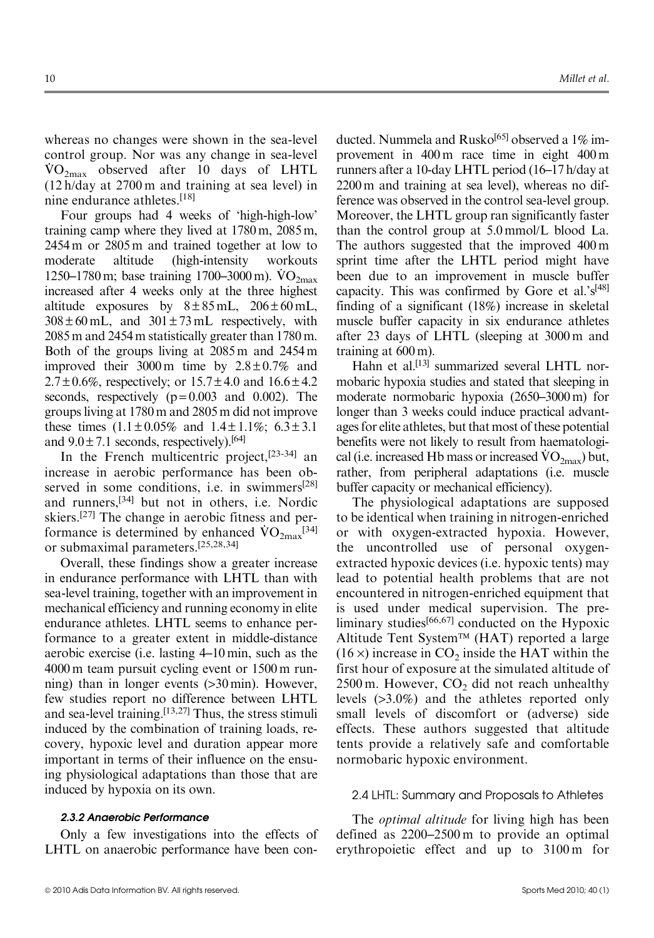whereas no changes were shown in the sea-level control group. Nor was any change in sea-level .  $\rm \dot{VO}_{2max}$  observed after 10 days of LHTL (12 h/day at 2700 m and training at sea level) in nine endurance athletes.[18]

Four groups had 4 weeks of 'high-high-low' training camp where they lived at 1780 m, 2085 m, 2454 m or 2805 m and trained together at low to moderate altitude (high-intensity workouts moderate antitude (ingu-intensity workouts<br>1250–1780 m; base training  $1700$ –3000 m).  $\rm{VO_{2max}}$ increased after 4 weeks only at the three highest altitude exposures by  $8 \pm 85$  mL,  $206 \pm 60$  mL,  $308 \pm 60$  mL, and  $301 \pm 73$  mL respectively, with 2085 m and 2454 m statistically greater than 1780 m. Both of the groups living at 2085 m and 2454 m improved their 3000 m time by  $2.8 \pm 0.7\%$  and  $2.7 \pm 0.6\%$ , respectively; or  $15.7 \pm 4.0$  and  $16.6 \pm 4.2$ seconds, respectively  $(p=0.003$  and 0.002). The groups living at 1780 m and 2805 m did not improve these times  $(1.1 \pm 0.05\%$  and  $1.4 \pm 1.1\%$ ;  $6.3 \pm 3.1$ and  $9.0 \pm 7.1$  seconds, respectively).<sup>[64]</sup>

In the French multicentric project,  $[23-34]$  an increase in aerobic performance has been observed in some conditions, i.e. in swimmers<sup>[28]</sup> and runners,[34] but not in others, i.e. Nordic skiers.[27] The change in aerobic fitness and per-SKIETS.<sup>1</sup> The change in aerobic fitness and per-<br>formance is determined by enhanced  $\rm{VO_{2max}}^{[34]}$ or submaximal parameters.[25,28,34]

Overall, these findings show a greater increase in endurance performance with LHTL than with sea-level training, together with an improvement in mechanical efficiency and running economy in elite endurance athletes. LHTL seems to enhance performance to a greater extent in middle-distance aerobic exercise (i.e. lasting 4–10 min, such as the 4000 m team pursuit cycling event or 1500 m running) than in longer events (>30 min). However, few studies report no difference between LHTL and sea-level training.[13,27] Thus, the stress stimuli induced by the combination of training loads, recovery, hypoxic level and duration appear more important in terms of their influence on the ensuing physiological adaptations than those that are induced by hypoxia on its own.

#### 2.3.2 Anaerobic Performance

Only a few investigations into the effects of LHTL on anaerobic performance have been conducted. Nummela and Rusko<sup>[65]</sup> observed a 1% improvement in 400 m race time in eight 400 m runners after a 10-day LHTL period (16–17 h/day at 2200 m and training at sea level), whereas no difference was observed in the control sea-level group. Moreover, the LHTL group ran significantly faster than the control group at 5.0 mmol/L blood La. The authors suggested that the improved 400 m sprint time after the LHTL period might have been due to an improvement in muscle buffer capacity. This was confirmed by Gore et al.' $s^{[48]}$ finding of a significant (18%) increase in skeletal muscle buffer capacity in six endurance athletes after 23 days of LHTL (sleeping at 3000 m and training at 600 m).

Hahn et al.<sup>[13]</sup> summarized several LHTL normobaric hypoxia studies and stated that sleeping in moderate normobaric hypoxia (2650–3000 m) for longer than 3 weeks could induce practical advantages for elite athletes, but that most of these potential benefits were not likely to result from haematologibenefits were not likely to result from naturation of the late of  $\rm{Vol}_{2max}$ ) but, rather, from peripheral adaptations (i.e. muscle buffer capacity or mechanical efficiency).

The physiological adaptations are supposed to be identical when training in nitrogen-enriched or with oxygen-extracted hypoxia. However, the uncontrolled use of personal oxygenextracted hypoxic devices (i.e. hypoxic tents) may lead to potential health problems that are not encountered in nitrogen-enriched equipment that is used under medical supervision. The preliminary studies<sup>[66,67]</sup> conducted on the Hypoxic Altitude Tent System™ (HAT) reported a large  $(16 \times)$  increase in CO<sub>2</sub> inside the HAT within the first hour of exposure at the simulated altitude of 2500 m. However,  $CO<sub>2</sub>$  did not reach unhealthy levels (>3.0%) and the athletes reported only small levels of discomfort or (adverse) side effects. These authors suggested that altitude tents provide a relatively safe and comfortable normobaric hypoxic environment.

#### 2.4 LHTL: Summary and Proposals to Athletes

The *optimal altitude* for living high has been defined as 2200–2500 m to provide an optimal erythropoietic effect and up to 3100 m for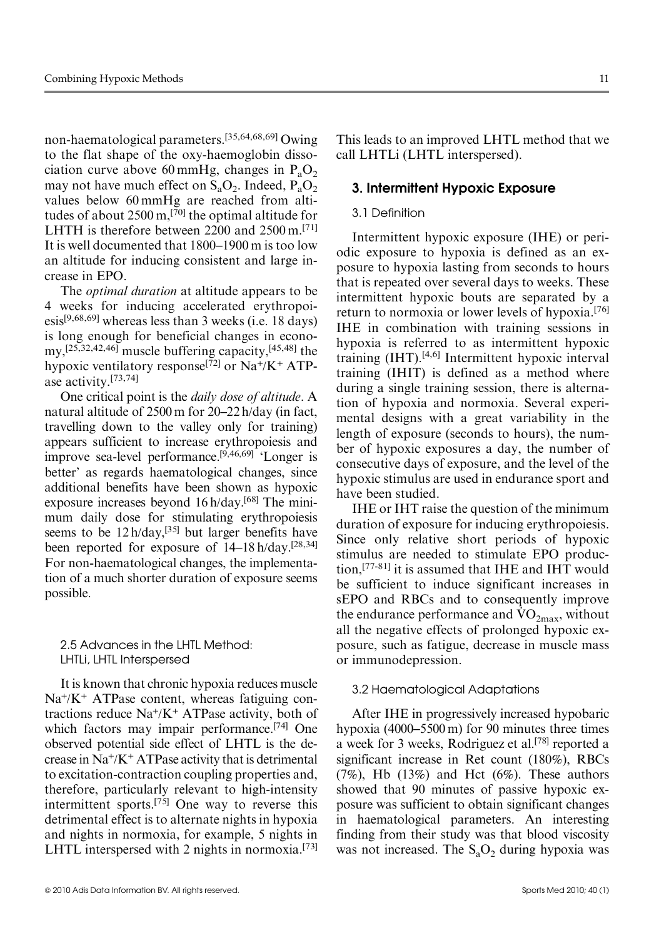non-haematological parameters.[35,64,68,69] Owing to the flat shape of the oxy-haemoglobin dissociation curve above 60 mmHg, changes in  $P_aO_2$ may not have much effect on  $S_3O_2$ . Indeed,  $P_3O_2$ values below 60 mmHg are reached from altitudes of about 2500 m,<sup>[70]</sup> the optimal altitude for LHTH is therefore between 2200 and 2500 m.<sup>[71]</sup> It is well documented that 1800–1900 m is too low an altitude for inducing consistent and large increase in EPO.

The *optimal duration* at altitude appears to be 4 weeks for inducing accelerated erythropoiesis<sup>[9,68,69]</sup> whereas less than 3 weeks (i.e. 18 days) is long enough for beneficial changes in economy,[25,32,42,46] muscle buffering capacity,[45,48] the hypoxic ventilatory response<sup>[72]</sup> or Na<sup>+</sup>/K<sup>+</sup> ATPase activity.[73,74]

One critical point is the daily dose of altitude. A natural altitude of 2500 m for 20–22 h/day (in fact, travelling down to the valley only for training) appears sufficient to increase erythropoiesis and improve sea-level performance.<sup>[9,46,69]</sup> 'Longer is better' as regards haematological changes, since additional benefits have been shown as hypoxic exposure increases beyond 16 h/day.<sup>[68]</sup> The minimum daily dose for stimulating erythropoiesis seems to be  $12 h/day$ ,  $[35]$  but larger benefits have been reported for exposure of 14–18 h/day.[28,34] For non-haematological changes, the implementation of a much shorter duration of exposure seems possible.

2.5 Advances in the LHTL Method: LHTLi, LHTL Interspersed

It is known that chronic hypoxia reduces muscle  $Na^{+}/K^{+}$  ATPase content, whereas fatiguing contractions reduce  $Na^{+}/K^{+}$  ATPase activity, both of which factors may impair performance.<sup>[74]</sup> One observed potential side effect of LHTL is the decrease in  $Na^{+}/K^{+}ATP$ ase activity that is detrimental to excitation-contraction coupling properties and, therefore, particularly relevant to high-intensity intermittent sports.[75] One way to reverse this detrimental effect is to alternate nights in hypoxia and nights in normoxia, for example, 5 nights in LHTL interspersed with 2 nights in normoxia.<sup>[73]</sup>

This leads to an improved LHTL method that we call LHTLi (LHTL interspersed).

# 3. Intermittent Hypoxic Exposure

# 3.1 Definition

Intermittent hypoxic exposure (IHE) or periodic exposure to hypoxia is defined as an exposure to hypoxia lasting from seconds to hours that is repeated over several days to weeks. These intermittent hypoxic bouts are separated by a return to normoxia or lower levels of hypoxia.<sup>[76]</sup> IHE in combination with training sessions in hypoxia is referred to as intermittent hypoxic training  $(HT)$ .<sup>[4,6]</sup> Intermittent hypoxic interval training (IHIT) is defined as a method where during a single training session, there is alternation of hypoxia and normoxia. Several experimental designs with a great variability in the length of exposure (seconds to hours), the number of hypoxic exposures a day, the number of consecutive days of exposure, and the level of the hypoxic stimulus are used in endurance sport and have been studied.

IHE or IHT raise the question of the minimum duration of exposure for inducing erythropoiesis. Since only relative short periods of hypoxic stimulus are needed to stimulate EPO production,[77-81] it is assumed that IHE and IHT would be sufficient to induce significant increases in sEPO and RBCs and to consequently improve  $\text{SEPO}$  and  $\text{KDCs}$  and to consequently improve<br>the endurance performance and  $\text{VO}_{2\text{max}}$ , without all the negative effects of prolonged hypoxic exposure, such as fatigue, decrease in muscle mass or immunodepression.

# 3.2 Haematological Adaptations

After IHE in progressively increased hypobaric hypoxia (4000–5500 m) for 90 minutes three times a week for 3 weeks, Rodriguez et al.<sup>[78]</sup> reported a significant increase in Ret count (180%), RBCs  $(7\%)$ , Hb  $(13\%)$  and Hct  $(6\%)$ . These authors showed that 90 minutes of passive hypoxic exposure was sufficient to obtain significant changes in haematological parameters. An interesting finding from their study was that blood viscosity was not increased. The  $S_2O_2$  during hypoxia was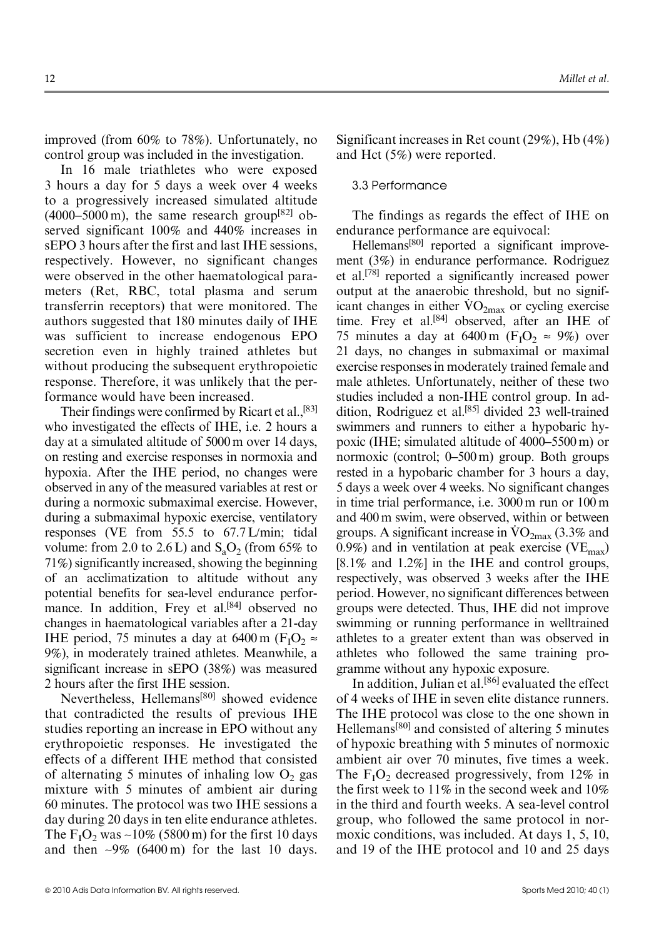improved (from 60% to 78%). Unfortunately, no control group was included in the investigation.

In 16 male triathletes who were exposed 3 hours a day for 5 days a week over 4 weeks to a progressively increased simulated altitude  $(4000-5000 \text{ m})$ , the same research group<sup>[82]</sup> observed significant 100% and 440% increases in sEPO 3 hours after the first and last IHE sessions, respectively. However, no significant changes were observed in the other haematological parameters (Ret, RBC, total plasma and serum transferrin receptors) that were monitored. The authors suggested that 180 minutes daily of IHE was sufficient to increase endogenous EPO secretion even in highly trained athletes but without producing the subsequent erythropoietic response. Therefore, it was unlikely that the performance would have been increased.

Their findings were confirmed by Ricart et al.,<sup>[83]</sup> who investigated the effects of IHE, i.e. 2 hours a day at a simulated altitude of 5000 m over 14 days, on resting and exercise responses in normoxia and hypoxia. After the IHE period, no changes were observed in any of the measured variables at rest or during a normoxic submaximal exercise. However, during a submaximal hypoxic exercise, ventilatory responses (VE from 55.5 to 67.7 L/min; tidal volume: from 2.0 to 2.6 L) and  $S_aO_2$  (from 65% to 71%) significantly increased, showing the beginning of an acclimatization to altitude without any potential benefits for sea-level endurance performance. In addition, Frey et al.<sup>[84]</sup> observed no changes in haematological variables after a 21-day IHE period, 75 minutes a day at 6400 m ( $F_1O_2 \approx$ 9%), in moderately trained athletes. Meanwhile, a significant increase in sEPO (38%) was measured 2 hours after the first IHE session.

Nevertheless, Hellemans<sup>[80]</sup> showed evidence that contradicted the results of previous IHE studies reporting an increase in EPO without any erythropoietic responses. He investigated the effects of a different IHE method that consisted of alternating 5 minutes of inhaling low  $O_2$  gas mixture with 5 minutes of ambient air during 60 minutes. The protocol was two IHE sessions a day during 20 days in ten elite endurance athletes. The  $F_1O_2$  was  $\sim$ 10% (5800 m) for the first 10 days and then  $\sim 9\%$  (6400 m) for the last 10 days. Significant increases in Ret count (29%), Hb (4%) and Hct (5%) were reported.

# 3.3 Performance

The findings as regards the effect of IHE on endurance performance are equivocal:

Hellemans[80] reported a significant improvement (3%) in endurance performance. Rodriguez et al.[78] reported a significantly increased power output at the anaerobic threshold, but no signifoutput at the anaerobic threshold, but no significant changes in either  $VO_{2max}$  or cycling exercise time. Frey et al.<sup>[84]</sup> observed, after an IHE of 75 minutes a day at 6400 m ( $F_1O_2 \approx 9\%$ ) over 21 days, no changes in submaximal or maximal exercise responses in moderately trained female and male athletes. Unfortunately, neither of these two studies included a non-IHE control group. In addition, Rodriguez et al.<sup>[85]</sup> divided 23 well-trained swimmers and runners to either a hypobaric hypoxic (IHE; simulated altitude of 4000–5500 m) or normoxic (control; 0–500 m) group. Both groups rested in a hypobaric chamber for 3 hours a day, 5 days a week over 4 weeks. No significant changes in time trial performance, i.e. 3000 m run or 100 m and 400 m swim, were observed, within or between and 400 m swint, were observed, within or between<br>groups. A significant increase in  $\rm{VO}_{2max}$  (3.3% and 0.9%) and in ventilation at peak exercise (VE $_{\text{max}}$ ) [8.1% and 1.2%] in the IHE and control groups, respectively, was observed 3 weeks after the IHE period. However, no significant differences between groups were detected. Thus, IHE did not improve swimming or running performance in welltrained athletes to a greater extent than was observed in athletes who followed the same training programme without any hypoxic exposure.

In addition, Julian et al.<sup>[86]</sup> evaluated the effect of 4 weeks of IHE in seven elite distance runners. The IHE protocol was close to the one shown in Hellemans[80] and consisted of altering 5 minutes of hypoxic breathing with 5 minutes of normoxic ambient air over 70 minutes, five times a week. The  $F_1O_2$  decreased progressively, from 12% in the first week to 11% in the second week and 10% in the third and fourth weeks. A sea-level control group, who followed the same protocol in normoxic conditions, was included. At days 1, 5, 10, and 19 of the IHE protocol and 10 and 25 days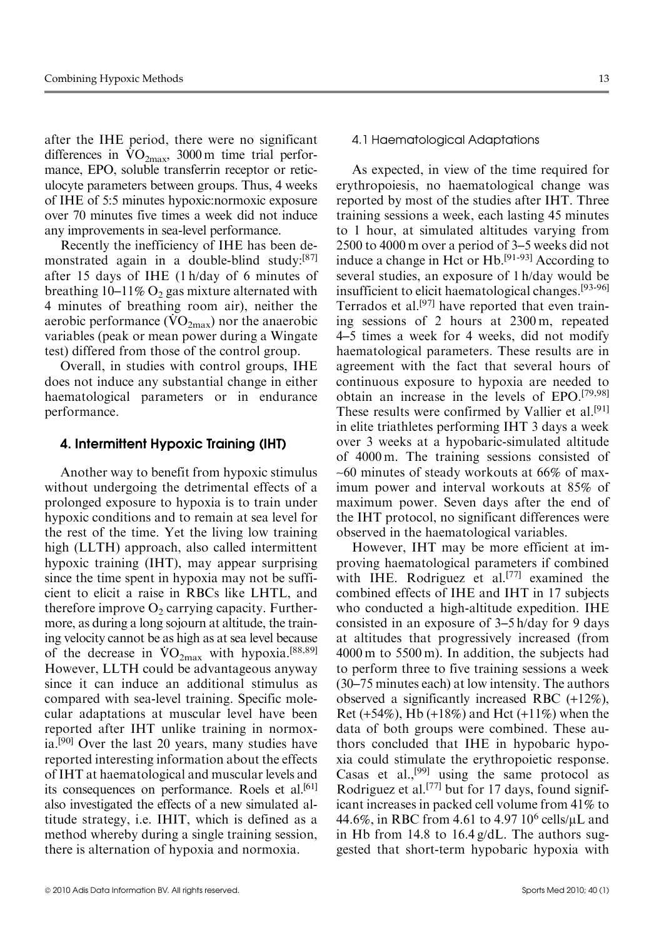after the IHE period, there were no significant after the **FFL** period, there were no significant differences in  $\rm{VO}_{2max}$ , 3000 m time trial performance, EPO, soluble transferrin receptor or reticulocyte parameters between groups. Thus, 4 weeks of IHE of 5:5 minutes hypoxic:normoxic exposure over 70 minutes five times a week did not induce any improvements in sea-level performance.

Recently the inefficiency of IHE has been demonstrated again in a double-blind study:<sup>[87]</sup> after 15 days of IHE (1 h/day of 6 minutes of breathing  $10-11\%$  O<sub>2</sub> gas mixture alternated with 4 minutes of breathing room air), neither the  $\frac{4 \text{ minutes}}{2 \text{ minutes}}$  in the meaning room and  $\frac{1}{2}$ , hence the anaerobic variables (peak or mean power during a Wingate test) differed from those of the control group.

Overall, in studies with control groups, IHE does not induce any substantial change in either haematological parameters or in endurance performance.

# 4. Intermittent Hypoxic Training (IHT)

Another way to benefit from hypoxic stimulus without undergoing the detrimental effects of a prolonged exposure to hypoxia is to train under hypoxic conditions and to remain at sea level for the rest of the time. Yet the living low training high (LLTH) approach, also called intermittent hypoxic training (IHT), may appear surprising since the time spent in hypoxia may not be sufficient to elicit a raise in RBCs like LHTL, and therefore improve  $O_2$  carrying capacity. Furthermore, as during a long sojourn at altitude, the training velocity cannot be as high as at sea level because Ing velocity cannot be as high as at sea level because<br>of the decrease in  $\rm{VO}_{2max}$  with hypoxia.<sup>[88,89]</sup> However, LLTH could be advantageous anyway since it can induce an additional stimulus as compared with sea-level training. Specific molecular adaptations at muscular level have been reported after IHT unlike training in normoxia.<sup>[90]</sup> Over the last 20 years, many studies have reported interesting information about the effects of IHT at haematological and muscular levels and its consequences on performance. Roels et al.<sup>[61]</sup> also investigated the effects of a new simulated altitude strategy, i.e. IHIT, which is defined as a method whereby during a single training session, there is alternation of hypoxia and normoxia.

#### 4.1 Haematological Adaptations

As expected, in view of the time required for erythropoiesis, no haematological change was reported by most of the studies after IHT. Three training sessions a week, each lasting 45 minutes to 1 hour, at simulated altitudes varying from 2500 to 4000 m over a period of 3–5 weeks did not induce a change in Hct or Hb.[91-93] According to several studies, an exposure of 1 h/day would be insufficient to elicit haematological changes.[93-96] Terrados et al.<sup>[97]</sup> have reported that even training sessions of 2 hours at 2300 m, repeated 4–5 times a week for 4 weeks, did not modify haematological parameters. These results are in agreement with the fact that several hours of continuous exposure to hypoxia are needed to obtain an increase in the levels of EPO.[79,98] These results were confirmed by Vallier et al.<sup>[91]</sup> in elite triathletes performing IHT 3 days a week over 3 weeks at a hypobaric-simulated altitude of 4000 m. The training sessions consisted of  $~1$  -60 minutes of steady workouts at 66% of maximum power and interval workouts at 85% of maximum power. Seven days after the end of the IHT protocol, no significant differences were observed in the haematological variables.

However, IHT may be more efficient at improving haematological parameters if combined with IHE. Rodriguez et al.<sup>[77]</sup> examined the combined effects of IHE and IHT in 17 subjects who conducted a high-altitude expedition. IHE consisted in an exposure of 3–5 h/day for 9 days at altitudes that progressively increased (from 4000 m to 5500 m). In addition, the subjects had to perform three to five training sessions a week (30–75 minutes each) at low intensity. The authors observed a significantly increased RBC (+12%), Ret (+54%), Hb (+18%) and Hct (+11%) when the data of both groups were combined. These authors concluded that IHE in hypobaric hypoxia could stimulate the erythropoietic response. Casas et al.,<sup>[99]</sup> using the same protocol as Rodriguez et al.[77] but for 17 days, found significant increases in packed cell volume from 41% to 44.6%, in RBC from 4.61 to 4.97  $10^6$  cells/ $\mu$ L and in Hb from 14.8 to 16.4 g/dL. The authors suggested that short-term hypobaric hypoxia with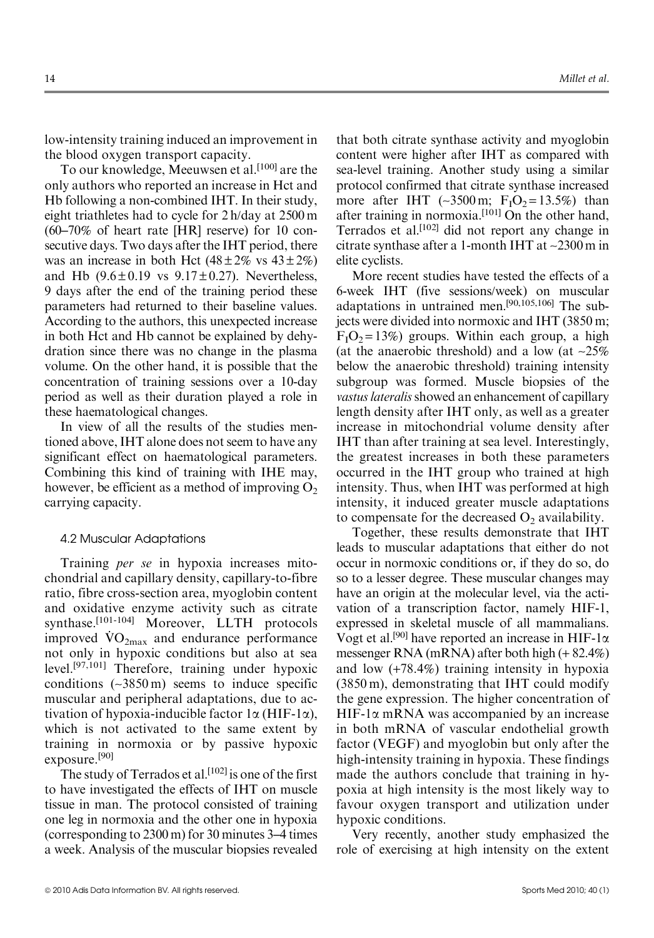low-intensity training induced an improvement in the blood oxygen transport capacity.

To our knowledge, Meeuwsen et al.[100] are the only authors who reported an increase in Hct and Hb following a non-combined IHT. In their study, eight triathletes had to cycle for 2 h/day at 2500 m (60–70% of heart rate [HR] reserve) for 10 consecutive days. Two days after the IHT period, there was an increase in both Hct  $(48 \pm 2\% \text{ vs } 43 \pm 2\%)$ and Hb  $(9.6 \pm 0.19$  vs  $9.17 \pm 0.27$ ). Nevertheless, 9 days after the end of the training period these parameters had returned to their baseline values. According to the authors, this unexpected increase in both Hct and Hb cannot be explained by dehydration since there was no change in the plasma volume. On the other hand, it is possible that the concentration of training sessions over a 10-day period as well as their duration played a role in these haematological changes.

In view of all the results of the studies mentioned above, IHT alone does not seem to have any significant effect on haematological parameters. Combining this kind of training with IHE may, however, be efficient as a method of improving  $O<sub>2</sub>$ carrying capacity.

# 4.2 Muscular Adaptations

Training per se in hypoxia increases mitochondrial and capillary density, capillary-to-fibre ratio, fibre cross-section area, myoglobin content and oxidative enzyme activity such as citrate synthase.<sup>[101-104]</sup> Moreover, LLTH protocols synthese.  $\omega$  is moreover, ELTH protocolous not only in hypoxic conditions but also at sea level.[97,101] Therefore, training under hypoxic conditions  $(-3850 \,\mathrm{m})$  seems to induce specific muscular and peripheral adaptations, due to activation of hypoxia-inducible factor  $1\alpha$  (HIF-1 $\alpha$ ), which is not activated to the same extent by training in normoxia or by passive hypoxic exposure.[90]

The study of Terrados et al.<sup>[102]</sup> is one of the first to have investigated the effects of IHT on muscle tissue in man. The protocol consisted of training one leg in normoxia and the other one in hypoxia (corresponding to 2300 m) for 30 minutes 3–4 times a week. Analysis of the muscular biopsies revealed that both citrate synthase activity and myoglobin content were higher after IHT as compared with sea-level training. Another study using a similar protocol confirmed that citrate synthase increased more after IHT (~3500 m;  $F_1O_2 = 13.5\%$ ) than after training in normoxia.<sup>[101]</sup> On the other hand, Terrados et al.[102] did not report any change in citrate synthase after a 1-month IHT at ~2300 m in elite cyclists.

More recent studies have tested the effects of a 6-week IHT (five sessions/week) on muscular adaptations in untrained men.[90,105,106] The subjects were divided into normoxic and IHT (3850 m;  $F_1O_2 = 13\%$ ) groups. Within each group, a high (at the anaerobic threshold) and a low (at  $\sim$ 25%) below the anaerobic threshold) training intensity subgroup was formed. Muscle biopsies of the vastus lateralis showed an enhancement of capillary length density after IHT only, as well as a greater increase in mitochondrial volume density after IHT than after training at sea level. Interestingly, the greatest increases in both these parameters occurred in the IHT group who trained at high intensity. Thus, when IHT was performed at high intensity, it induced greater muscle adaptations to compensate for the decreased  $O<sub>2</sub>$  availability.

Together, these results demonstrate that IHT leads to muscular adaptations that either do not occur in normoxic conditions or, if they do so, do so to a lesser degree. These muscular changes may have an origin at the molecular level, via the activation of a transcription factor, namely HIF-1, expressed in skeletal muscle of all mammalians. Vogt et al.<sup>[90]</sup> have reported an increase in HIF-1 $\alpha$ messenger RNA (mRNA) after both high (+ 82.4%) and low (+78.4%) training intensity in hypoxia (3850 m), demonstrating that IHT could modify the gene expression. The higher concentration of  $HIF-1\alpha$  mRNA was accompanied by an increase in both mRNA of vascular endothelial growth factor (VEGF) and myoglobin but only after the high-intensity training in hypoxia. These findings made the authors conclude that training in hypoxia at high intensity is the most likely way to favour oxygen transport and utilization under hypoxic conditions.

Very recently, another study emphasized the role of exercising at high intensity on the extent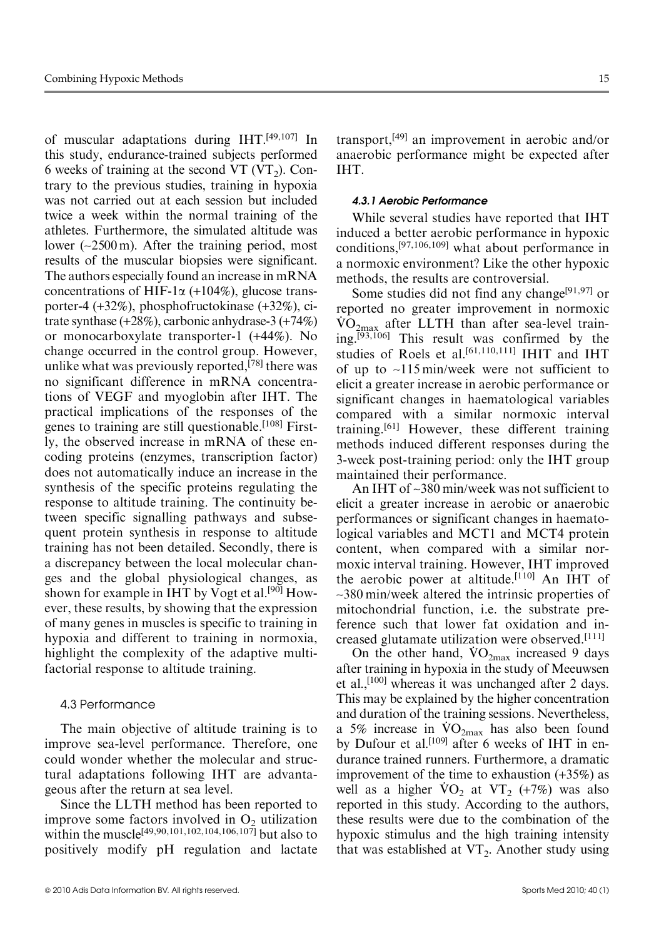of muscular adaptations during IHT.[49,107] In this study, endurance-trained subjects performed 6 weeks of training at the second VT (VT<sub>2</sub>). Contrary to the previous studies, training in hypoxia was not carried out at each session but included twice a week within the normal training of the athletes. Furthermore, the simulated altitude was lower (~2500 m). After the training period, most results of the muscular biopsies were significant. The authors especially found an increase in mRNA concentrations of HIF-1 $\alpha$  (+104%), glucose transporter-4 (+32%), phosphofructokinase (+32%), citrate synthase (+28%), carbonic anhydrase-3 (+74%) or monocarboxylate transporter-1 (+44%). No change occurred in the control group. However, unlike what was previously reported, $[78]$  there was no significant difference in mRNA concentrations of VEGF and myoglobin after IHT. The practical implications of the responses of the genes to training are still questionable.<sup>[108]</sup> Firstly, the observed increase in mRNA of these encoding proteins (enzymes, transcription factor) does not automatically induce an increase in the synthesis of the specific proteins regulating the response to altitude training. The continuity between specific signalling pathways and subsequent protein synthesis in response to altitude training has not been detailed. Secondly, there is a discrepancy between the local molecular changes and the global physiological changes, as shown for example in IHT by Vogt et al.<sup>[90]</sup> However, these results, by showing that the expression of many genes in muscles is specific to training in hypoxia and different to training in normoxia, highlight the complexity of the adaptive multifactorial response to altitude training.

# 4.3 Performance

The main objective of altitude training is to improve sea-level performance. Therefore, one could wonder whether the molecular and structural adaptations following IHT are advantageous after the return at sea level.

Since the LLTH method has been reported to improve some factors involved in  $O_2$  utilization within the muscle<sup>[49,90,101,102,104,106,107]</sup> but also to positively modify pH regulation and lactate transport,[49] an improvement in aerobic and/or anaerobic performance might be expected after IHT.

# 4.3.1 Aerobic Performance

While several studies have reported that IHT induced a better aerobic performance in hypoxic conditions,[97,106,109] what about performance in a normoxic environment? Like the other hypoxic methods, the results are controversial.

Some studies did not find any change<sup>[91,97]</sup> or reported no greater improvement in normoxic .  $\rm \dot{VO}_{2max}$  after LLTH than after sea-level training.[93,106] This result was confirmed by the studies of Roels et al.<sup>[61,110,111]</sup> IHIT and IHT of up to ~115 min/week were not sufficient to elicit a greater increase in aerobic performance or significant changes in haematological variables compared with a similar normoxic interval training.[61] However, these different training methods induced different responses during the 3-week post-training period: only the IHT group maintained their performance.

An IHT of ~380 min/week was not sufficient to elicit a greater increase in aerobic or anaerobic performances or significant changes in haematological variables and MCT1 and MCT4 protein content, when compared with a similar normoxic interval training. However, IHT improved the aerobic power at altitude.[110] An IHT of ~380 min/week altered the intrinsic properties of mitochondrial function, i.e. the substrate preference such that lower fat oxidation and increased glutamate utilization were observed.[111]

cased glutamate utilization were observed.<sup>[111]</sup><br>On the other hand,  $\rm{VO}_{2max}$  increased 9 days after training in hypoxia in the study of Meeuwsen et al.,<sup>[100]</sup> whereas it was unchanged after 2 days. This may be explained by the higher concentration and duration of the training sessions. Nevertheless, and duration of the training sessions. Nevertheless,<br>a 5% increase in  $\rm{VO_{2max}}$  has also been found by Dufour et al.<sup>[109]</sup> after 6 weeks of IHT in endurance trained runners. Furthermore, a dramatic improvement of the time to exhaustion (+35%) as mprovement of the time to exhaustion  $(+35%)$  as<br>well as a higher  $VO<sub>2</sub>$  at  $VT<sub>2</sub>$   $(+7%)$  was also reported in this study. According to the authors, these results were due to the combination of the hypoxic stimulus and the high training intensity that was established at  $VT_2$ . Another study using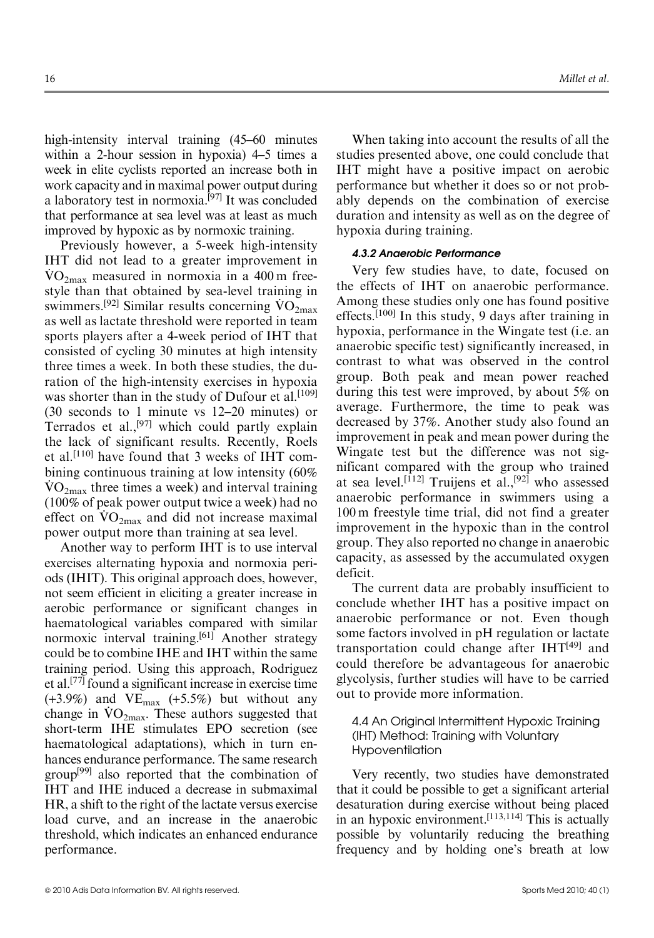high-intensity interval training (45–60 minutes within a 2-hour session in hypoxia) 4–5 times a week in elite cyclists reported an increase both in work capacity and in maximal power output during a laboratory test in normoxia.<sup>[97]</sup> It was concluded that performance at sea level was at least as much improved by hypoxic as by normoxic training.

Previously however, a 5-week high-intensity IHT did not lead to a greater improvement in  $\rm \dot{VO}_{2max}$  measured in normoxia in a 400 m freestyle than that obtained by sea-level training in style than that obtained by sea-level training in swimmers.<sup>[92]</sup> Similar results concerning  $\rm{VO}_{2max}$ as well as lactate threshold were reported in team sports players after a 4-week period of IHT that consisted of cycling 30 minutes at high intensity three times a week. In both these studies, the duration of the high-intensity exercises in hypoxia was shorter than in the study of Dufour et al.<sup>[109]</sup> (30 seconds to 1 minute vs 12–20 minutes) or Terrados et al.,<sup>[97]</sup> which could partly explain the lack of significant results. Recently, Roels et al.[110] have found that 3 weeks of IHT combining continuous training at low intensity (60%  $\rm \dot{VO}_{2max}$  three times a week) and interval training (100% of peak power output twice a week) had no (100% of peak power output twice a week) had no<br>effect on  $\rm{VO_{2max}}$  and did not increase maximal power output more than training at sea level.

Another way to perform IHT is to use interval exercises alternating hypoxia and normoxia periods (IHIT). This original approach does, however, not seem efficient in eliciting a greater increase in aerobic performance or significant changes in haematological variables compared with similar normoxic interval training.<sup>[61]</sup> Another strategy could be to combine IHE and IHT within the same training period. Using this approach, Rodriguez et al.[77] found a significant increase in exercise time  $(+3.9\%)$  and  $VE<sub>max</sub>$   $(+5.5\%)$  but without any (+5.9%) and  $V_{\text{max}}$  (+5.5%) but without any change in  $\rm{VO}_{2\text{max}}$ . These authors suggested that short-term IHE stimulates EPO secretion (see haematological adaptations), which in turn enhances endurance performance. The same research group<sup>[99]</sup> also reported that the combination of IHT and IHE induced a decrease in submaximal HR, a shift to the right of the lactate versus exercise load curve, and an increase in the anaerobic threshold, which indicates an enhanced endurance performance.

When taking into account the results of all the studies presented above, one could conclude that IHT might have a positive impact on aerobic performance but whether it does so or not probably depends on the combination of exercise duration and intensity as well as on the degree of hypoxia during training.

#### 4.3.2 Anaerobic Performance

Very few studies have, to date, focused on the effects of IHT on anaerobic performance. Among these studies only one has found positive effects.<sup>[100]</sup> In this study, 9 days after training in hypoxia, performance in the Wingate test (i.e. an anaerobic specific test) significantly increased, in contrast to what was observed in the control group. Both peak and mean power reached during this test were improved, by about 5% on average. Furthermore, the time to peak was decreased by 37%. Another study also found an improvement in peak and mean power during the Wingate test but the difference was not significant compared with the group who trained at sea level.<sup>[112]</sup> Truijens et al.,<sup>[92]</sup> who assessed anaerobic performance in swimmers using a 100 m freestyle time trial, did not find a greater improvement in the hypoxic than in the control group. They also reported no change in anaerobic capacity, as assessed by the accumulated oxygen deficit.

The current data are probably insufficient to conclude whether IHT has a positive impact on anaerobic performance or not. Even though some factors involved in pH regulation or lactate transportation could change after  $IHT<sup>[49]</sup>$  and could therefore be advantageous for anaerobic glycolysis, further studies will have to be carried out to provide more information.

4.4 An Original Intermittent Hypoxic Training (IHT) Method: Training with Voluntary Hypoventilation

Very recently, two studies have demonstrated that it could be possible to get a significant arterial desaturation during exercise without being placed in an hypoxic environment.[113,114] This is actually possible by voluntarily reducing the breathing frequency and by holding one's breath at low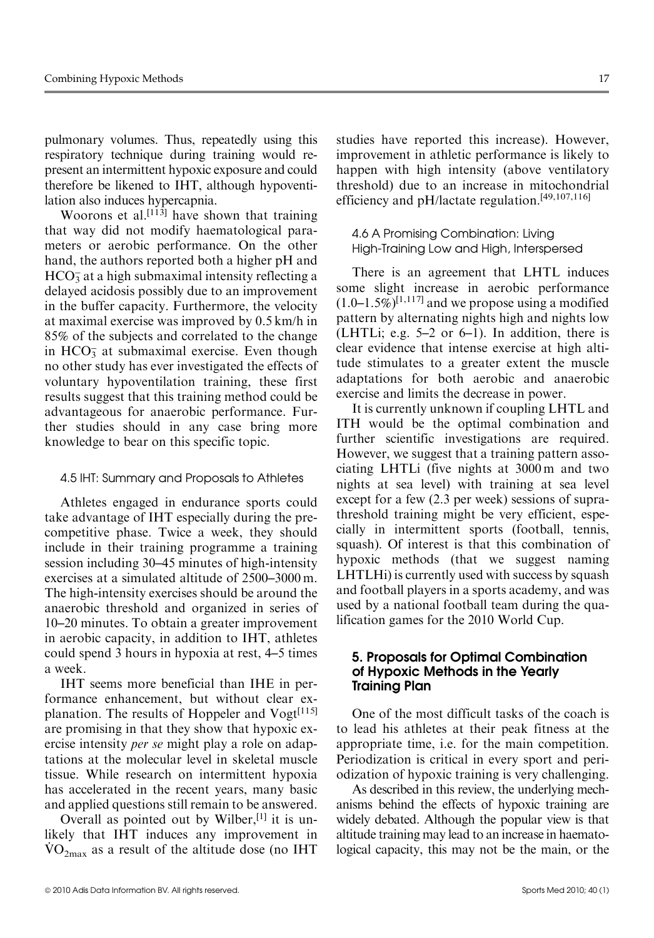pulmonary volumes. Thus, repeatedly using this respiratory technique during training would represent an intermittent hypoxic exposure and could therefore be likened to IHT, although hypoventilation also induces hypercapnia.

Woorons et al.<sup>[113]</sup> have shown that training that way did not modify haematological parameters or aerobic performance. On the other hand, the authors reported both a higher pH and  $HCO<sub>3</sub>$  at a high submaximal intensity reflecting a delayed acidosis possibly due to an improvement in the buffer capacity. Furthermore, the velocity at maximal exercise was improved by 0.5 km/h in 85% of the subjects and correlated to the change in  $HCO<sub>3</sub>$  at submaximal exercise. Even though no other study has ever investigated the effects of voluntary hypoventilation training, these first results suggest that this training method could be advantageous for anaerobic performance. Further studies should in any case bring more knowledge to bear on this specific topic.

# 4.5 IHT: Summary and Proposals to Athletes

Athletes engaged in endurance sports could take advantage of IHT especially during the precompetitive phase. Twice a week, they should include in their training programme a training session including 30–45 minutes of high-intensity exercises at a simulated altitude of 2500–3000 m. The high-intensity exercises should be around the anaerobic threshold and organized in series of 10–20 minutes. To obtain a greater improvement in aerobic capacity, in addition to IHT, athletes could spend 3 hours in hypoxia at rest, 4–5 times a week.

IHT seems more beneficial than IHE in performance enhancement, but without clear explanation. The results of Hoppeler and  $Vogt^{[115]}$ are promising in that they show that hypoxic exercise intensity *per se* might play a role on adaptations at the molecular level in skeletal muscle tissue. While research on intermittent hypoxia has accelerated in the recent years, many basic and applied questions still remain to be answered.

Overall as pointed out by Wilber,  $[1]$  it is unlikely that IHT induces any improvement in  $\rm \dot{VO}_{2max}$  as a result of the altitude dose (no IHT studies have reported this increase). However, improvement in athletic performance is likely to happen with high intensity (above ventilatory threshold) due to an increase in mitochondrial efficiency and pH/lactate regulation.[49,107,116]

4.6 A Promising Combination: Living High-Training Low and High, Interspersed

There is an agreement that LHTL induces some slight increase in aerobic performance  $(1.0-1.5\%)^{[1,117]}$  and we propose using a modified pattern by alternating nights high and nights low (LHTLi; e.g. 5–2 or 6–1). In addition, there is clear evidence that intense exercise at high altitude stimulates to a greater extent the muscle adaptations for both aerobic and anaerobic exercise and limits the decrease in power.

It is currently unknown if coupling LHTL and ITH would be the optimal combination and further scientific investigations are required. However, we suggest that a training pattern associating LHTLi (five nights at 3000 m and two nights at sea level) with training at sea level except for a few (2.3 per week) sessions of suprathreshold training might be very efficient, especially in intermittent sports (football, tennis, squash). Of interest is that this combination of hypoxic methods (that we suggest naming LHTLHi) is currently used with success by squash and football players in a sports academy, and was used by a national football team during the qualification games for the 2010 World Cup.

# 5. Proposals for Optimal Combination of Hypoxic Methods in the Yearly Training Plan

One of the most difficult tasks of the coach is to lead his athletes at their peak fitness at the appropriate time, i.e. for the main competition. Periodization is critical in every sport and periodization of hypoxic training is very challenging.

As described in this review, the underlying mechanisms behind the effects of hypoxic training are widely debated. Although the popular view is that altitude training may lead to an increase in haematological capacity, this may not be the main, or the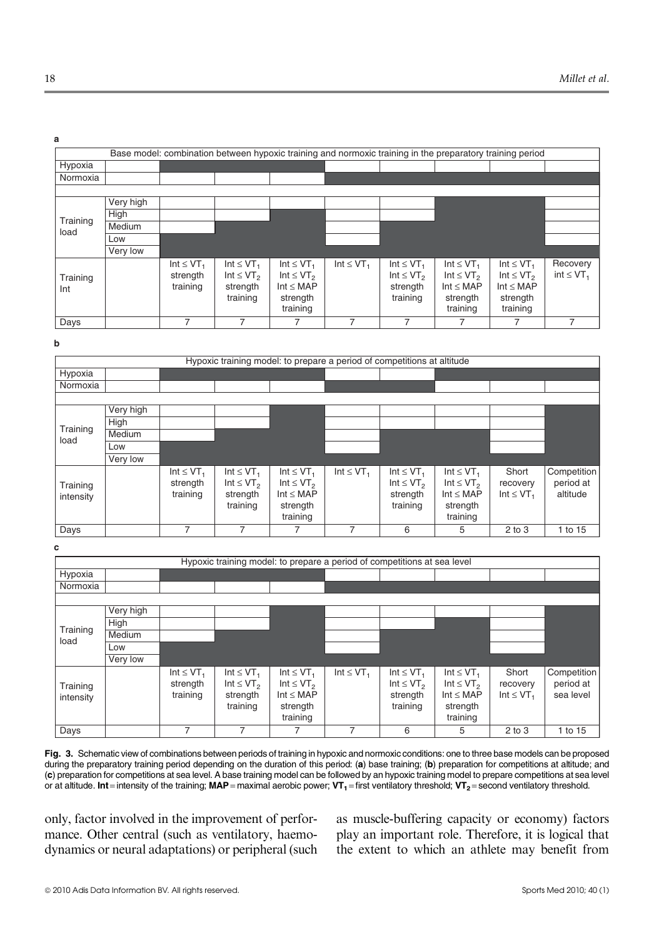| Base model: combination between hypoxic training and normoxic training in the preparatory training period |           |                                                    |                                                                                  |                                                                                                    |                            |                                                                                  |                                                                                                    |                                                                                                    |                             |  |  |
|-----------------------------------------------------------------------------------------------------------|-----------|----------------------------------------------------|----------------------------------------------------------------------------------|----------------------------------------------------------------------------------------------------|----------------------------|----------------------------------------------------------------------------------|----------------------------------------------------------------------------------------------------|----------------------------------------------------------------------------------------------------|-----------------------------|--|--|
| Hypoxia                                                                                                   |           |                                                    |                                                                                  |                                                                                                    |                            |                                                                                  |                                                                                                    |                                                                                                    |                             |  |  |
| Normoxia                                                                                                  |           |                                                    |                                                                                  |                                                                                                    |                            |                                                                                  |                                                                                                    |                                                                                                    |                             |  |  |
|                                                                                                           |           |                                                    |                                                                                  |                                                                                                    |                            |                                                                                  |                                                                                                    |                                                                                                    |                             |  |  |
|                                                                                                           | Very high |                                                    |                                                                                  |                                                                                                    |                            |                                                                                  |                                                                                                    |                                                                                                    |                             |  |  |
|                                                                                                           | High      |                                                    |                                                                                  |                                                                                                    |                            |                                                                                  |                                                                                                    |                                                                                                    |                             |  |  |
| Training<br>load                                                                                          | Medium    |                                                    |                                                                                  |                                                                                                    |                            |                                                                                  |                                                                                                    |                                                                                                    |                             |  |  |
|                                                                                                           | Low       |                                                    |                                                                                  |                                                                                                    |                            |                                                                                  |                                                                                                    |                                                                                                    |                             |  |  |
|                                                                                                           | Very low  |                                                    |                                                                                  |                                                                                                    |                            |                                                                                  |                                                                                                    |                                                                                                    |                             |  |  |
| Training<br>Int                                                                                           |           | Int $\leq$ VT <sub>1</sub><br>strength<br>training | Int $\leq$ VT <sub>1</sub><br>Int $\leq$ VT <sub>2</sub><br>strength<br>training | Int $\leq$ VT <sub>1</sub><br>Int $\leq$ VT <sub>2</sub><br>Int $\leq$ MAP<br>strength<br>training | Int $\leq$ VT <sub>1</sub> | Int $\leq$ VT <sub>1</sub><br>Int $\leq$ VT <sub>2</sub><br>strength<br>training | Int $\leq$ VT <sub>1</sub><br>Int $\leq$ VT <sub>2</sub><br>Int $\leq$ MAP<br>strength<br>training | Int $\leq$ VT <sub>1</sub><br>Int $\leq$ VT <sub>2</sub><br>Int $\leq$ MAP<br>strength<br>training | Recovery<br>$int \leq VT_1$ |  |  |
| Days                                                                                                      |           |                                                    |                                                                                  |                                                                                                    |                            |                                                                                  |                                                                                                    |                                                                                                    |                             |  |  |

**b**

| Hypoxic training model: to prepare a period of competitions at altitude |           |                                                    |                                                                                  |                                                                                                    |                            |                                                                                  |                                                                                                    |                                                 |                                      |  |  |  |
|-------------------------------------------------------------------------|-----------|----------------------------------------------------|----------------------------------------------------------------------------------|----------------------------------------------------------------------------------------------------|----------------------------|----------------------------------------------------------------------------------|----------------------------------------------------------------------------------------------------|-------------------------------------------------|--------------------------------------|--|--|--|
| Hypoxia                                                                 |           |                                                    |                                                                                  |                                                                                                    |                            |                                                                                  |                                                                                                    |                                                 |                                      |  |  |  |
| Normoxia                                                                |           |                                                    |                                                                                  |                                                                                                    |                            |                                                                                  |                                                                                                    |                                                 |                                      |  |  |  |
|                                                                         |           |                                                    |                                                                                  |                                                                                                    |                            |                                                                                  |                                                                                                    |                                                 |                                      |  |  |  |
|                                                                         | Very high |                                                    |                                                                                  |                                                                                                    |                            |                                                                                  |                                                                                                    |                                                 |                                      |  |  |  |
|                                                                         | High      |                                                    |                                                                                  |                                                                                                    |                            |                                                                                  |                                                                                                    |                                                 |                                      |  |  |  |
| Training<br>load                                                        | Medium    |                                                    |                                                                                  |                                                                                                    |                            |                                                                                  |                                                                                                    |                                                 |                                      |  |  |  |
|                                                                         | Low       |                                                    |                                                                                  |                                                                                                    |                            |                                                                                  |                                                                                                    |                                                 |                                      |  |  |  |
|                                                                         | Very low  |                                                    |                                                                                  |                                                                                                    |                            |                                                                                  |                                                                                                    |                                                 |                                      |  |  |  |
| Training<br>intensity                                                   |           | Int $\leq$ VT <sub>1</sub><br>strength<br>training | Int $\leq$ VT <sub>1</sub><br>Int $\leq$ VT <sub>2</sub><br>strength<br>training | Int $\leq$ VT <sub>1</sub><br>Int $\leq$ VT <sub>2</sub><br>Int $\leq$ MAP<br>strength<br>training | Int $\leq$ VT <sub>1</sub> | Int $\leq$ VT <sub>1</sub><br>Int $\leq$ VT <sub>2</sub><br>strength<br>training | Int $\leq$ VT <sub>1</sub><br>Int $\leq$ VT <sub>2</sub><br>Int $\leq$ MAP<br>strength<br>training | Short<br>recovery<br>Int $\leq$ VT <sub>1</sub> | Competition<br>period at<br>altitude |  |  |  |
| Days                                                                    |           |                                                    |                                                                                  |                                                                                                    |                            | 6                                                                                | 5                                                                                                  | $2$ to $3$                                      | 1 to 15                              |  |  |  |

**c**

| Hypoxic training model: to prepare a period of competitions at sea level |           |                                                    |                                                                                  |                                                                                                    |                            |                                                                                  |                                                                                                    |                                                 |                                       |  |  |
|--------------------------------------------------------------------------|-----------|----------------------------------------------------|----------------------------------------------------------------------------------|----------------------------------------------------------------------------------------------------|----------------------------|----------------------------------------------------------------------------------|----------------------------------------------------------------------------------------------------|-------------------------------------------------|---------------------------------------|--|--|
| Hypoxia                                                                  |           |                                                    |                                                                                  |                                                                                                    |                            |                                                                                  |                                                                                                    |                                                 |                                       |  |  |
| Normoxia                                                                 |           |                                                    |                                                                                  |                                                                                                    |                            |                                                                                  |                                                                                                    |                                                 |                                       |  |  |
|                                                                          |           |                                                    |                                                                                  |                                                                                                    |                            |                                                                                  |                                                                                                    |                                                 |                                       |  |  |
|                                                                          | Very high |                                                    |                                                                                  |                                                                                                    |                            |                                                                                  |                                                                                                    |                                                 |                                       |  |  |
|                                                                          | High      |                                                    |                                                                                  |                                                                                                    |                            |                                                                                  |                                                                                                    |                                                 |                                       |  |  |
| Training<br>load                                                         | Medium    |                                                    |                                                                                  |                                                                                                    |                            |                                                                                  |                                                                                                    |                                                 |                                       |  |  |
|                                                                          | Low       |                                                    |                                                                                  |                                                                                                    |                            |                                                                                  |                                                                                                    |                                                 |                                       |  |  |
|                                                                          | Very low  |                                                    |                                                                                  |                                                                                                    |                            |                                                                                  |                                                                                                    |                                                 |                                       |  |  |
| Training<br>intensity                                                    |           | Int $\leq$ VT <sub>1</sub><br>strength<br>training | Int $\leq$ VT <sub>1</sub><br>Int $\leq$ VT <sub>2</sub><br>strength<br>training | Int $\leq$ VT <sub>1</sub><br>Int $\leq$ VT <sub>2</sub><br>Int $\leq$ MAP<br>strength<br>training | Int $\leq$ VT <sub>1</sub> | Int $\leq$ VT <sub>1</sub><br>Int $\leq$ VT <sub>2</sub><br>strength<br>training | Int $\leq$ VT <sub>1</sub><br>Int $\leq$ VT <sub>2</sub><br>Int $\leq$ MAP<br>strength<br>training | Short<br>recovery<br>Int $\leq$ VT <sub>1</sub> | Competition<br>period at<br>sea level |  |  |
| Days                                                                     |           | 7                                                  | 7                                                                                |                                                                                                    | 7                          | 6                                                                                | 5                                                                                                  | $2$ to $3$                                      | 1 to 15                               |  |  |

Fig. 3. Schematic view of combinations between periods of training in hypoxic and normoxic conditions: one to three base models can be proposed during the preparatory training period depending on the duration of this period: (a) base training; (b) preparation for competitions at altitude; and (c) preparation for competitions at sea level. A base training model can be followed by an hypoxic training model to prepare competitions at sea level or at altitude. Int= intensity of the training; MAP= maximal aerobic power;  $VT_1$ = first ventilatory threshold;  $VT_2$ = second ventilatory threshold.

only, factor involved in the improvement of performance. Other central (such as ventilatory, haemodynamics or neural adaptations) or peripheral (such as muscle-buffering capacity or economy) factors play an important role. Therefore, it is logical that the extent to which an athlete may benefit from

**a**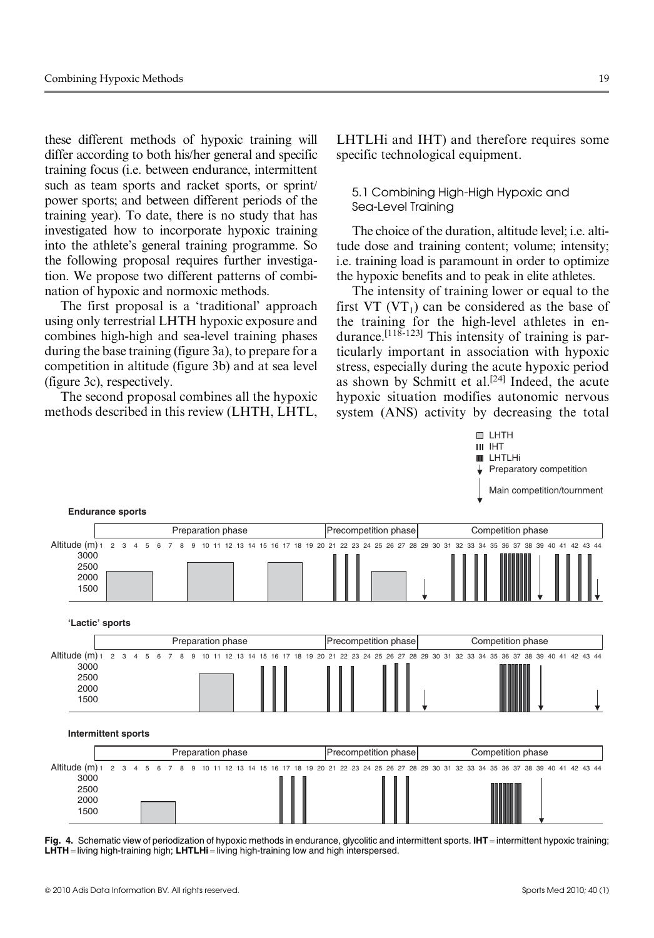these different methods of hypoxic training will differ according to both his/her general and specific training focus (i.e. between endurance, intermittent such as team sports and racket sports, or sprint/ power sports; and between different periods of the training year). To date, there is no study that has investigated how to incorporate hypoxic training into the athlete's general training programme. So the following proposal requires further investigation. We propose two different patterns of combination of hypoxic and normoxic methods.

The first proposal is a 'traditional' approach using only terrestrial LHTH hypoxic exposure and combines high-high and sea-level training phases during the base training (figure 3a), to prepare for a competition in altitude (figure 3b) and at sea level (figure 3c), respectively.

The second proposal combines all the hypoxic methods described in this review (LHTH, LHTL,

LHTLHi and IHT) and therefore requires some specific technological equipment.

5.1 Combining High-High Hypoxic and Sea-Level Training

The choice of the duration, altitude level; i.e. altitude dose and training content; volume; intensity; i.e. training load is paramount in order to optimize the hypoxic benefits and to peak in elite athletes.

The intensity of training lower or equal to the first VT  $(VT_1)$  can be considered as the base of the training for the high-level athletes in endurance.<sup>[118-123]</sup> This intensity of training is particularly important in association with hypoxic stress, especially during the acute hypoxic period as shown by Schmitt et al.<sup>[24]</sup> Indeed, the acute hypoxic situation modifies autonomic nervous system (ANS) activity by decreasing the total



Fig. 4. Schematic view of periodization of hypoxic methods in endurance, glycolitic and intermittent sports. IHT=intermittent hypoxic training; LHTH = living high-training high; LHTLHi = living high-training low and high interspersed.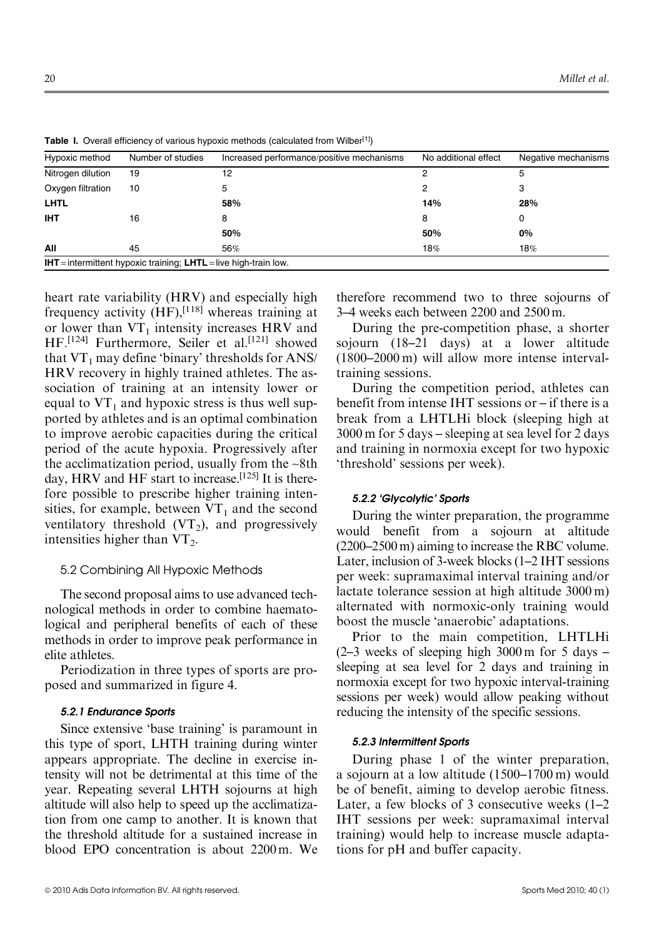| Hypoxic method                                                            | Number of studies | Increased performance/positive mechanisms | No additional effect | Negative mechanisms |  |  |  |  |  |
|---------------------------------------------------------------------------|-------------------|-------------------------------------------|----------------------|---------------------|--|--|--|--|--|
| Nitrogen dilution                                                         | 19                | 12                                        |                      | 5                   |  |  |  |  |  |
| Oxygen filtration                                                         | 10                | 5.                                        |                      |                     |  |  |  |  |  |
| <b>LHTL</b>                                                               |                   | 58%                                       | 14%                  | 28%                 |  |  |  |  |  |
| <b>IHT</b>                                                                | 16                | 8                                         | 8                    |                     |  |  |  |  |  |
|                                                                           |                   | 50%                                       | 50%                  | 0%                  |  |  |  |  |  |
| All                                                                       | 45                | 56%                                       | 18%                  | 18%                 |  |  |  |  |  |
| <b>IHT</b> = intermittent hypoxic training; $LHTL$ = live high-train low. |                   |                                           |                      |                     |  |  |  |  |  |

Table I. Overall efficiency of various hypoxic methods (calculated from Wilber<sup>[1]</sup>)

heart rate variability (HRV) and especially high frequency activity  $(HF)$ , [118] whereas training at or lower than  $VT_1$  intensity increases HRV and HF.<sup>[124]</sup> Furthermore, Seiler et al.<sup>[121]</sup> showed that  $VT_1$  may define 'binary' thresholds for ANS/ HRV recovery in highly trained athletes. The association of training at an intensity lower or equal to  $VT_1$  and hypoxic stress is thus well supported by athletes and is an optimal combination to improve aerobic capacities during the critical period of the acute hypoxia. Progressively after the acclimatization period, usually from the ~8th day, HRV and HF start to increase.<sup>[125]</sup> It is therefore possible to prescribe higher training intensities, for example, between  $VT_1$  and the second ventilatory threshold  $(VT_2)$ , and progressively intensities higher than  $VT_2$ .

# 5.2 Combining All Hypoxic Methods

The second proposal aims to use advanced technological methods in order to combine haematological and peripheral benefits of each of these methods in order to improve peak performance in elite athletes.

Periodization in three types of sports are proposed and summarized in figure 4.

# 5.2.1 Endurance Sports

Since extensive 'base training' is paramount in this type of sport, LHTH training during winter appears appropriate. The decline in exercise intensity will not be detrimental at this time of the year. Repeating several LHTH sojourns at high altitude will also help to speed up the acclimatization from one camp to another. It is known that the threshold altitude for a sustained increase in blood EPO concentration is about 2200 m. We

therefore recommend two to three sojourns of 3–4 weeks each between 2200 and 2500 m.

During the pre-competition phase, a shorter sojourn (18–21 days) at a lower altitude (1800–2000 m) will allow more intense intervaltraining sessions.

During the competition period, athletes can benefit from intense IHT sessions or – if there is a break from a LHTLHi block (sleeping high at 3000 m for 5 days – sleeping at sea level for 2 days and training in normoxia except for two hypoxic 'threshold' sessions per week).

# 5.2.2 'Glycolytic' Sports

During the winter preparation, the programme would benefit from a sojourn at altitude (2200–2500 m) aiming to increase the RBC volume. Later, inclusion of 3-week blocks (1–2 IHT sessions per week: supramaximal interval training and/or lactate tolerance session at high altitude 3000 m) alternated with normoxic-only training would boost the muscle 'anaerobic' adaptations.

Prior to the main competition, LHTLHi  $(2-3$  weeks of sleeping high 3000 m for 5 days  $$ sleeping at sea level for 2 days and training in normoxia except for two hypoxic interval-training sessions per week) would allow peaking without reducing the intensity of the specific sessions.

# 5.2.3 Intermittent Sports

During phase 1 of the winter preparation, a sojourn at a low altitude (1500–1700 m) would be of benefit, aiming to develop aerobic fitness. Later, a few blocks of 3 consecutive weeks  $(1-2)$ IHT sessions per week: supramaximal interval training) would help to increase muscle adaptations for pH and buffer capacity.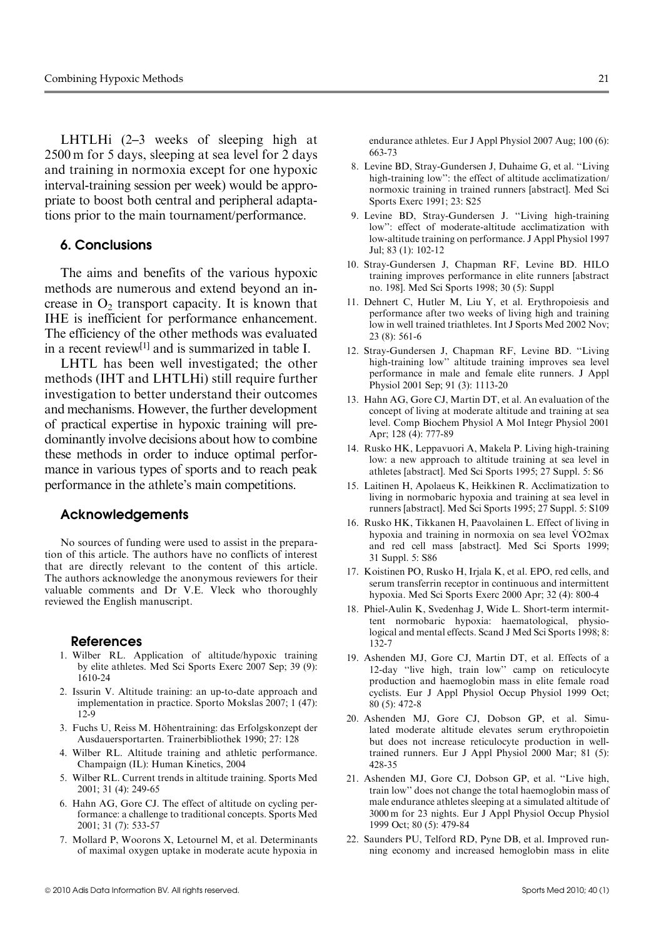LHTLHi (2–3 weeks of sleeping high at 2500 m for 5 days, sleeping at sea level for 2 days and training in normoxia except for one hypoxic interval-training session per week) would be appropriate to boost both central and peripheral adaptations prior to the main tournament/performance.

# 6. Conclusions

The aims and benefits of the various hypoxic methods are numerous and extend beyond an increase in  $O<sub>2</sub>$  transport capacity. It is known that IHE is inefficient for performance enhancement. The efficiency of the other methods was evaluated in a recent review<sup>[1]</sup> and is summarized in table I.

LHTL has been well investigated; the other methods (IHT and LHTLHi) still require further investigation to better understand their outcomes and mechanisms. However, the further development of practical expertise in hypoxic training will predominantly involve decisions about how to combine these methods in order to induce optimal performance in various types of sports and to reach peak performance in the athlete's main competitions.

# Acknowledgements

No sources of funding were used to assist in the preparation of this article. The authors have no conflicts of interest that are directly relevant to the content of this article. The authors acknowledge the anonymous reviewers for their valuable comments and Dr V.E. Vleck who thoroughly reviewed the English manuscript.

#### References

- 1. Wilber RL. Application of altitude/hypoxic training by elite athletes. Med Sci Sports Exerc 2007 Sep; 39 (9): 1610-24
- 2. Issurin V. Altitude training: an up-to-date approach and implementation in practice. Sporto Mokslas 2007; 1 (47): 12-9
- 3. Fuchs U, Reiss M. Höhentraining: das Erfolgskonzept der Ausdauersportarten. Trainerbibliothek 1990; 27: 128
- 4. Wilber RL. Altitude training and athletic performance. Champaign (IL): Human Kinetics, 2004
- 5. Wilber RL. Current trends in altitude training. Sports Med 2001; 31 (4): 249-65
- 6. Hahn AG, Gore CJ. The effect of altitude on cycling performance: a challenge to traditional concepts. Sports Med 2001; 31 (7): 533-57
- 7. Mollard P, Woorons X, Letournel M, et al. Determinants of maximal oxygen uptake in moderate acute hypoxia in

endurance athletes. Eur J Appl Physiol 2007 Aug; 100 (6): 663-73

- 8. Levine BD, Stray-Gundersen J, Duhaime G, et al. ''Living high-training low'': the effect of altitude acclimatization/ normoxic training in trained runners [abstract]. Med Sci Sports Exerc 1991; 23: S25
- 9. Levine BD, Stray-Gundersen J. ''Living high-training low'': effect of moderate-altitude acclimatization with low-altitude training on performance. J Appl Physiol 1997 Jul; 83 (1): 102-12
- 10. Stray-Gundersen J, Chapman RF, Levine BD. HILO training improves performance in elite runners [abstract no. 198]. Med Sci Sports 1998; 30 (5): Suppl
- 11. Dehnert C, Hutler M, Liu Y, et al. Erythropoiesis and performance after two weeks of living high and training low in well trained triathletes. Int J Sports Med 2002 Nov; 23 (8): 561-6
- 12. Stray-Gundersen J, Chapman RF, Levine BD. ''Living high-training low'' altitude training improves sea level performance in male and female elite runners. J Appl Physiol 2001 Sep; 91 (3): 1113-20
- 13. Hahn AG, Gore CJ, Martin DT, et al. An evaluation of the concept of living at moderate altitude and training at sea level. Comp Biochem Physiol A Mol Integr Physiol 2001 Apr; 128 (4): 777-89
- 14. Rusko HK, Leppavuori A, Makela P. Living high-training low: a new approach to altitude training at sea level in athletes [abstract]. Med Sci Sports 1995; 27 Suppl. 5: S6
- 15. Laitinen H, Apolaeus K, Heikkinen R. Acclimatization to living in normobaric hypoxia and training at sea level in runners [abstract]. Med Sci Sports 1995; 27 Suppl. 5: S109
- 16. Rusko HK, Tikkanen H, Paavolainen L. Effect of living in kusko FIK, TIKKanen FI, Faavolanien L. Effect of living in<br>hypoxia and training in normoxia on sea level VO2max and red cell mass [abstract]. Med Sci Sports 1999; 31 Suppl. 5: S86
- 17. Koistinen PO, Rusko H, Irjala K, et al. EPO, red cells, and serum transferrin receptor in continuous and intermittent hypoxia. Med Sci Sports Exerc 2000 Apr; 32 (4): 800-4
- 18. Phiel-Aulin K, Svedenhag J, Wide L. Short-term intermittent normobaric hypoxia: haematological, physiological and mental effects. Scand J Med Sci Sports 1998; 8: 132-7
- 19. Ashenden MJ, Gore CJ, Martin DT, et al. Effects of a 12-day ''live high, train low'' camp on reticulocyte production and haemoglobin mass in elite female road cyclists. Eur J Appl Physiol Occup Physiol 1999 Oct; 80 (5): 472-8
- 20. Ashenden MJ, Gore CJ, Dobson GP, et al. Simulated moderate altitude elevates serum erythropoietin but does not increase reticulocyte production in welltrained runners. Eur J Appl Physiol 2000 Mar; 81 (5): 428-35
- 21. Ashenden MJ, Gore CJ, Dobson GP, et al. ''Live high, train low'' does not change the total haemoglobin mass of male endurance athletes sleeping at a simulated altitude of 3000 m for 23 nights. Eur J Appl Physiol Occup Physiol 1999 Oct; 80 (5): 479-84
- 22. Saunders PU, Telford RD, Pyne DB, et al. Improved running economy and increased hemoglobin mass in elite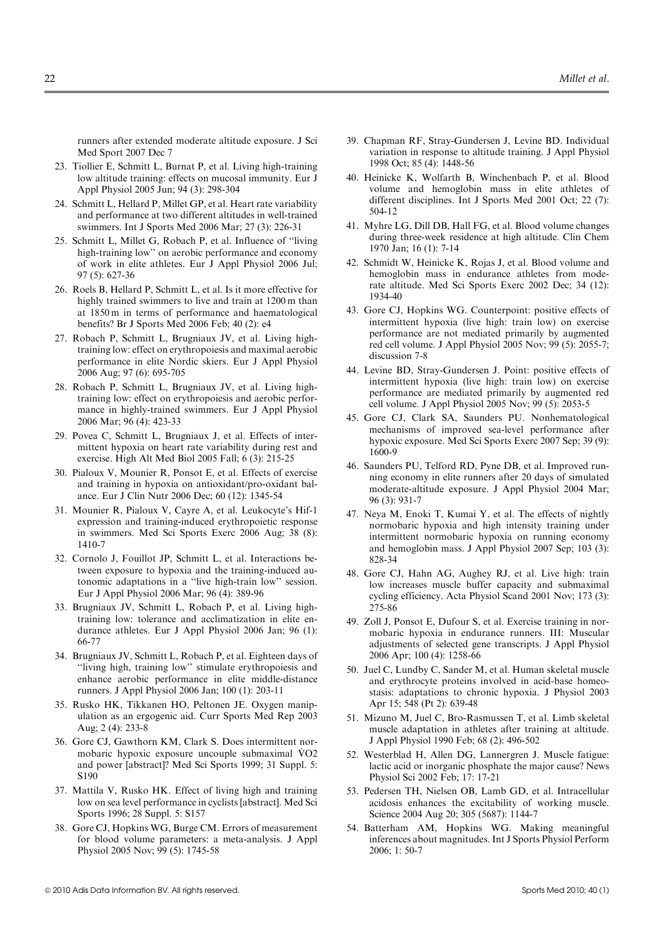runners after extended moderate altitude exposure. J Sci Med Sport 2007 Dec 7

- 23. Tiollier E, Schmitt L, Burnat P, et al. Living high-training low altitude training: effects on mucosal immunity. Eur J Appl Physiol 2005 Jun; 94 (3): 298-304
- 24. Schmitt L, Hellard P, Millet GP, et al. Heart rate variability and performance at two different altitudes in well-trained swimmers. Int J Sports Med 2006 Mar; 27 (3): 226-31
- 25. Schmitt L, Millet G, Robach P, et al. Influence of ''living high-training low'' on aerobic performance and economy of work in elite athletes. Eur J Appl Physiol 2006 Jul; 97 (5): 627-36
- 26. Roels B, Hellard P, Schmitt L, et al. Is it more effective for highly trained swimmers to live and train at 1200 m than at 1850 m in terms of performance and haematological benefits? Br J Sports Med 2006 Feb; 40 (2): e4
- 27. Robach P, Schmitt L, Brugniaux JV, et al. Living hightraining low: effect on erythropoiesis and maximal aerobic performance in elite Nordic skiers. Eur J Appl Physiol 2006 Aug; 97 (6): 695-705
- 28. Robach P, Schmitt L, Brugniaux JV, et al. Living hightraining low: effect on erythropoiesis and aerobic performance in highly-trained swimmers. Eur J Appl Physiol 2006 Mar; 96 (4): 423-33
- 29. Povea C, Schmitt L, Brugniaux J, et al. Effects of intermittent hypoxia on heart rate variability during rest and exercise. High Alt Med Biol 2005 Fall; 6 (3): 215-25
- 30. Pialoux V, Mounier R, Ponsot E, et al. Effects of exercise and training in hypoxia on antioxidant/pro-oxidant balance. Eur J Clin Nutr 2006 Dec; 60 (12): 1345-54
- 31. Mounier R, Pialoux V, Cayre A, et al. Leukocyte's Hif-1 expression and training-induced erythropoietic response in swimmers. Med Sci Sports Exerc 2006 Aug; 38 (8): 1410-7
- 32. Cornolo J, Fouillot JP, Schmitt L, et al. Interactions between exposure to hypoxia and the training-induced autonomic adaptations in a ''live high-train low'' session. Eur J Appl Physiol 2006 Mar; 96 (4): 389-96
- 33. Brugniaux JV, Schmitt L, Robach P, et al. Living hightraining low: tolerance and acclimatization in elite endurance athletes. Eur J Appl Physiol 2006 Jan; 96 (1): 66-77
- 34. Brugniaux JV, Schmitt L, Robach P, et al. Eighteen days of ''living high, training low'' stimulate erythropoiesis and enhance aerobic performance in elite middle-distance runners. J Appl Physiol 2006 Jan; 100 (1): 203-11
- 35. Rusko HK, Tikkanen HO, Peltonen JE. Oxygen manipulation as an ergogenic aid. Curr Sports Med Rep 2003 Aug; 2 (4): 233-8
- 36. Gore CJ, Gawthorn KM, Clark S. Does intermittent nornoie CJ, Gawthorn KM, Clark S. Does intermittent hor-<br>mobaric hypoxic exposure uncouple submaximal  $\rm\ddot{V}O2$ and power [abstract]? Med Sci Sports 1999; 31 Suppl. 5: S190
- 37. Mattila V, Rusko HK. Effect of living high and training low on sea level performance in cyclists [abstract]. Med Sci Sports 1996; 28 Suppl. 5: S157
- 38. Gore CJ, Hopkins WG, Burge CM. Errors of measurement for blood volume parameters: a meta-analysis. J Appl Physiol 2005 Nov; 99 (5): 1745-58
- 39. Chapman RF, Stray-Gundersen J, Levine BD. Individual variation in response to altitude training. J Appl Physiol 1998 Oct; 85 (4): 1448-56
- 40. Heinicke K, Wolfarth B, Winchenbach P, et al. Blood volume and hemoglobin mass in elite athletes of different disciplines. Int J Sports Med 2001 Oct; 22 (7): 504-12
- 41. Myhre LG, Dill DB, Hall FG, et al. Blood volume changes during three-week residence at high altitude. Clin Chem 1970 Jan; 16 (1): 7-14
- 42. Schmidt W, Heinicke K, Rojas J, et al. Blood volume and hemoglobin mass in endurance athletes from moderate altitude. Med Sci Sports Exerc 2002 Dec; 34 (12): 1934-40
- 43. Gore CJ, Hopkins WG. Counterpoint: positive effects of intermittent hypoxia (live high: train low) on exercise performance are not mediated primarily by augmented red cell volume. J Appl Physiol 2005 Nov; 99 (5): 2055-7; discussion 7-8
- 44. Levine BD, Stray-Gundersen J. Point: positive effects of intermittent hypoxia (live high: train low) on exercise performance are mediated primarily by augmented red cell volume. J Appl Physiol 2005 Nov; 99 (5): 2053-5
- 45. Gore CJ, Clark SA, Saunders PU. Nonhematological mechanisms of improved sea-level performance after hypoxic exposure. Med Sci Sports Exerc 2007 Sep; 39 (9): 1600-9
- 46. Saunders PU, Telford RD, Pyne DB, et al. Improved running economy in elite runners after 20 days of simulated moderate-altitude exposure. J Appl Physiol 2004 Mar; 96 (3): 931-7
- 47. Neya M, Enoki T, Kumai Y, et al. The effects of nightly normobaric hypoxia and high intensity training under intermittent normobaric hypoxia on running economy and hemoglobin mass. J Appl Physiol 2007 Sep; 103 (3): 828-34
- 48. Gore CJ, Hahn AG, Aughey RJ, et al. Live high: train low increases muscle buffer capacity and submaximal cycling efficiency. Acta Physiol Scand 2001 Nov; 173 (3): 275-86
- 49. Zoll J, Ponsot E, Dufour S, et al. Exercise training in normobaric hypoxia in endurance runners. III: Muscular adjustments of selected gene transcripts. J Appl Physiol 2006 Apr; 100 (4): 1258-66
- 50. Juel C, Lundby C, Sander M, et al. Human skeletal muscle and erythrocyte proteins involved in acid-base homeostasis: adaptations to chronic hypoxia. J Physiol 2003 Apr 15; 548 (Pt 2): 639-48
- 51. Mizuno M, Juel C, Bro-Rasmussen T, et al. Limb skeletal muscle adaptation in athletes after training at altitude. J Appl Physiol 1990 Feb; 68 (2): 496-502
- 52. Westerblad H, Allen DG, Lannergren J. Muscle fatigue: lactic acid or inorganic phosphate the major cause? News Physiol Sci 2002 Feb; 17: 17-21
- 53. Pedersen TH, Nielsen OB, Lamb GD, et al. Intracellular acidosis enhances the excitability of working muscle. Science 2004 Aug 20; 305 (5687): 1144-7
- 54. Batterham AM, Hopkins WG. Making meaningful inferences about magnitudes. Int J Sports Physiol Perform 2006; 1: 50-7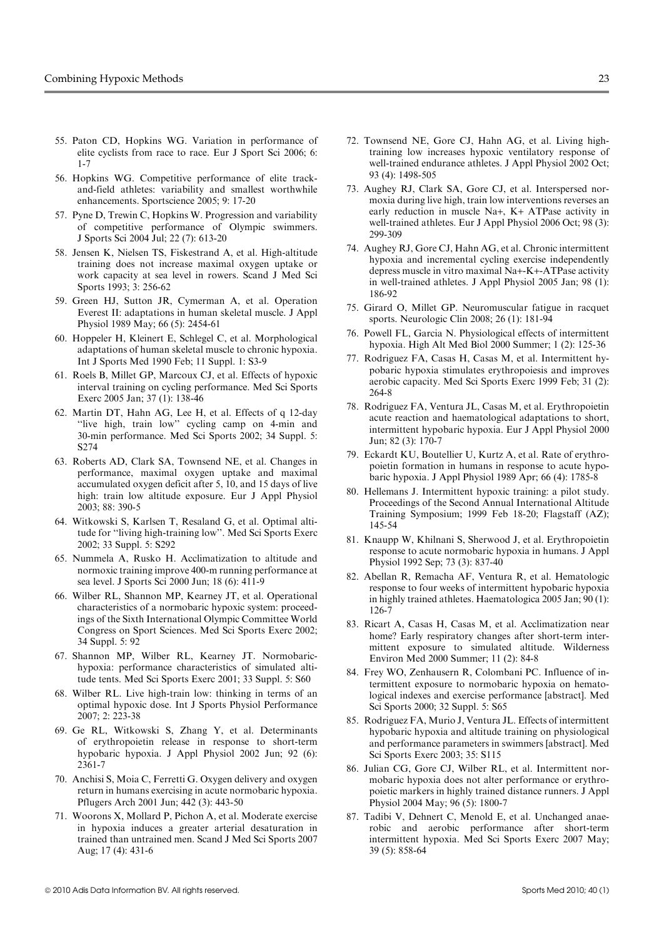- 55. Paton CD, Hopkins WG. Variation in performance of elite cyclists from race to race. Eur J Sport Sci 2006; 6: 1-7
- 56. Hopkins WG. Competitive performance of elite trackand-field athletes: variability and smallest worthwhile enhancements. Sportscience 2005; 9: 17-20
- 57. Pyne D, Trewin C, Hopkins W. Progression and variability of competitive performance of Olympic swimmers. J Sports Sci 2004 Jul; 22 (7): 613-20
- 58. Jensen K, Nielsen TS, Fiskestrand A, et al. High-altitude training does not increase maximal oxygen uptake or work capacity at sea level in rowers. Scand J Med Sci Sports 1993; 3: 256-62
- 59. Green HJ, Sutton JR, Cymerman A, et al. Operation Everest II: adaptations in human skeletal muscle. J Appl Physiol 1989 May; 66 (5): 2454-61
- 60. Hoppeler H, Kleinert E, Schlegel C, et al. Morphological adaptations of human skeletal muscle to chronic hypoxia. Int J Sports Med 1990 Feb; 11 Suppl. 1: S3-9
- 61. Roels B, Millet GP, Marcoux CJ, et al. Effects of hypoxic interval training on cycling performance. Med Sci Sports Exerc 2005 Jan; 37 (1): 138-46
- 62. Martin DT, Hahn AG, Lee H, et al. Effects of q 12-day ''live high, train low'' cycling camp on 4-min and 30-min performance. Med Sci Sports 2002; 34 Suppl. 5: S274
- 63. Roberts AD, Clark SA, Townsend NE, et al. Changes in performance, maximal oxygen uptake and maximal accumulated oxygen deficit after 5, 10, and 15 days of live high: train low altitude exposure. Eur J Appl Physiol 2003; 88: 390-5
- 64. Witkowski S, Karlsen T, Resaland G, et al. Optimal altitude for ''living high-training low''. Med Sci Sports Exerc 2002; 33 Suppl. 5: S292
- 65. Nummela A, Rusko H. Acclimatization to altitude and normoxic training improve 400-m running performance at sea level. J Sports Sci 2000 Jun; 18 (6): 411-9
- 66. Wilber RL, Shannon MP, Kearney JT, et al. Operational characteristics of a normobaric hypoxic system: proceedings of the Sixth International Olympic Committee World Congress on Sport Sciences. Med Sci Sports Exerc 2002; 34 Suppl. 5: 92
- 67. Shannon MP, Wilber RL, Kearney JT. Normobarichypoxia: performance characteristics of simulated altitude tents. Med Sci Sports Exerc 2001; 33 Suppl. 5: S60
- 68. Wilber RL. Live high-train low: thinking in terms of an optimal hypoxic dose. Int J Sports Physiol Performance 2007; 2: 223-38
- 69. Ge RL, Witkowski S, Zhang Y, et al. Determinants of erythropoietin release in response to short-term hypobaric hypoxia. J Appl Physiol 2002 Jun; 92 (6): 2361-7
- 70. Anchisi S, Moia C, Ferretti G. Oxygen delivery and oxygen return in humans exercising in acute normobaric hypoxia. Pflugers Arch 2001 Jun; 442 (3): 443-50
- 71. Woorons X, Mollard P, Pichon A, et al. Moderate exercise in hypoxia induces a greater arterial desaturation in trained than untrained men. Scand J Med Sci Sports 2007 Aug; 17 (4): 431-6
- 72. Townsend NE, Gore CJ, Hahn AG, et al. Living hightraining low increases hypoxic ventilatory response of well-trained endurance athletes. J Appl Physiol 2002 Oct; 93 (4): 1498-505
- 73. Aughey RJ, Clark SA, Gore CJ, et al. Interspersed normoxia during live high, train low interventions reverses an early reduction in muscle Na+, K+ ATPase activity in well-trained athletes. Eur J Appl Physiol 2006 Oct; 98 (3): 299-309
- 74. Aughey RJ, Gore CJ, Hahn AG, et al. Chronic intermittent hypoxia and incremental cycling exercise independently depress muscle in vitro maximal Na+-K+-ATPase activity in well-trained athletes. J Appl Physiol 2005 Jan; 98 (1): 186-92
- 75. Girard O, Millet GP. Neuromuscular fatigue in racquet sports. Neurologic Clin 2008; 26 (1): 181-94
- 76. Powell FL, Garcia N. Physiological effects of intermittent hypoxia. High Alt Med Biol 2000 Summer; 1 (2): 125-36
- 77. Rodriguez FA, Casas H, Casas M, et al. Intermittent hypobaric hypoxia stimulates erythropoiesis and improves aerobic capacity. Med Sci Sports Exerc 1999 Feb; 31 (2): 264-8
- 78. Rodriguez FA, Ventura JL, Casas M, et al. Erythropoietin acute reaction and haematological adaptations to short, intermittent hypobaric hypoxia. Eur J Appl Physiol 2000 Jun; 82 (3): 170-7
- 79. Eckardt KU, Boutellier U, Kurtz A, et al. Rate of erythropoietin formation in humans in response to acute hypobaric hypoxia. J Appl Physiol 1989 Apr; 66 (4): 1785-8
- 80. Hellemans J. Intermittent hypoxic training: a pilot study. Proceedings of the Second Annual International Altitude Training Symposium; 1999 Feb 18-20; Flagstaff (AZ); 145-54
- 81. Knaupp W, Khilnani S, Sherwood J, et al. Erythropoietin response to acute normobaric hypoxia in humans. J Appl Physiol 1992 Sep; 73 (3): 837-40
- 82. Abellan R, Remacha AF, Ventura R, et al. Hematologic response to four weeks of intermittent hypobaric hypoxia in highly trained athletes. Haematologica 2005 Jan; 90 (1): 126-7
- 83. Ricart A, Casas H, Casas M, et al. Acclimatization near home? Early respiratory changes after short-term intermittent exposure to simulated altitude. Wilderness Environ Med 2000 Summer; 11 (2): 84-8
- 84. Frey WO, Zenhausern R, Colombani PC. Influence of intermittent exposure to normobaric hypoxia on hematological indexes and exercise performance [abstract]. Med Sci Sports 2000; 32 Suppl. 5: S65
- 85. Rodriguez FA, Murio J, Ventura JL. Effects of intermittent hypobaric hypoxia and altitude training on physiological and performance parameters in swimmers [abstract]. Med Sci Sports Exerc 2003; 35: S115
- 86. Julian CG, Gore CJ, Wilber RL, et al. Intermittent normobaric hypoxia does not alter performance or erythropoietic markers in highly trained distance runners. J Appl Physiol 2004 May; 96 (5): 1800-7
- 87. Tadibi V, Dehnert C, Menold E, et al. Unchanged anaerobic and aerobic performance after short-term intermittent hypoxia. Med Sci Sports Exerc 2007 May; 39 (5): 858-64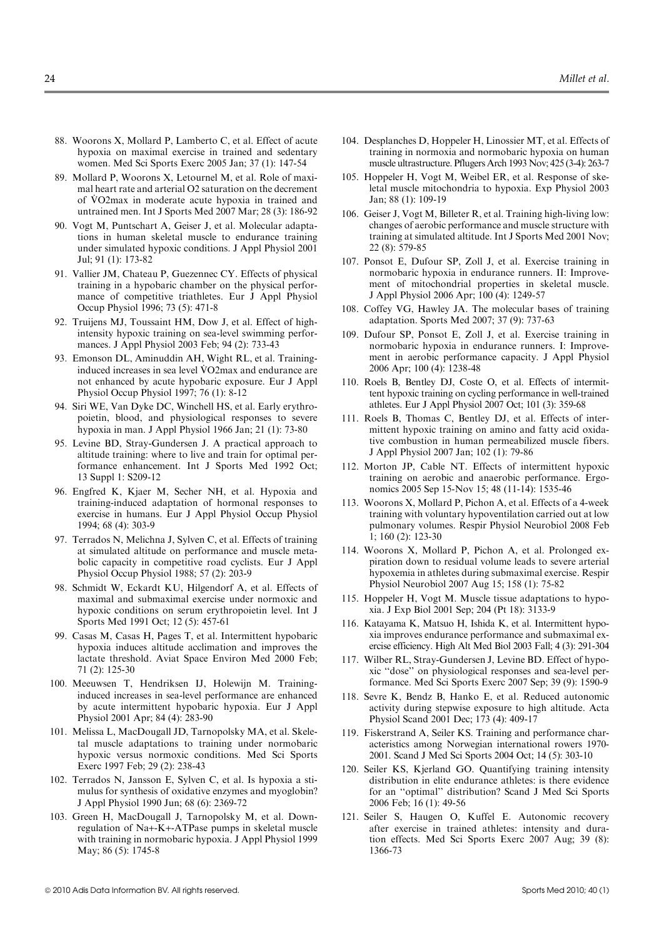- 88. Woorons X, Mollard P, Lamberto C, et al. Effect of acute hypoxia on maximal exercise in trained and sedentary women. Med Sci Sports Exerc 2005 Jan; 37 (1): 147-54
- 89. Mollard P, Woorons X, Letournel M, et al. Role of maximal heart rate and arterial O2 saturation on the decrement of . VO2max in moderate acute hypoxia in trained and untrained men. Int J Sports Med 2007 Mar; 28 (3): 186-92
- 90. Vogt M, Puntschart A, Geiser J, et al. Molecular adaptations in human skeletal muscle to endurance training under simulated hypoxic conditions. J Appl Physiol 2001 Jul; 91 (1): 173-82
- 91. Vallier JM, Chateau P, Guezennec CY. Effects of physical training in a hypobaric chamber on the physical performance of competitive triathletes. Eur J Appl Physiol Occup Physiol 1996; 73 (5): 471-8
- 92. Truijens MJ, Toussaint HM, Dow J, et al. Effect of highintensity hypoxic training on sea-level swimming performances. J Appl Physiol 2003 Feb; 94 (2): 733-43
- 93. Emonson DL, Aminuddin AH, Wight RL, et al. Traininginformation DL, Annifuddin AH, wight KL, et al. Framing-<br>induced increases in sea level VO2max and endurance are not enhanced by acute hypobaric exposure. Eur J Appl Physiol Occup Physiol 1997; 76 (1): 8-12
- 94. Siri WE, Van Dyke DC, Winchell HS, et al. Early erythropoietin, blood, and physiological responses to severe hypoxia in man. J Appl Physiol 1966 Jan; 21 (1): 73-80
- 95. Levine BD, Stray-Gundersen J. A practical approach to altitude training: where to live and train for optimal performance enhancement. Int J Sports Med 1992 Oct; 13 Suppl 1: S209-12
- 96. Engfred K, Kjaer M, Secher NH, et al. Hypoxia and training-induced adaptation of hormonal responses to exercise in humans. Eur J Appl Physiol Occup Physiol 1994; 68 (4): 303-9
- 97. Terrados N, Melichna J, Sylven C, et al. Effects of training at simulated altitude on performance and muscle metabolic capacity in competitive road cyclists. Eur J Appl Physiol Occup Physiol 1988; 57 (2): 203-9
- 98. Schmidt W, Eckardt KU, Hilgendorf A, et al. Effects of maximal and submaximal exercise under normoxic and hypoxic conditions on serum erythropoietin level. Int J Sports Med 1991 Oct; 12 (5): 457-61
- 99. Casas M, Casas H, Pages T, et al. Intermittent hypobaric hypoxia induces altitude acclimation and improves the lactate threshold. Aviat Space Environ Med 2000 Feb; 71 (2): 125-30
- 100. Meeuwsen T, Hendriksen IJ, Holewijn M. Traininginduced increases in sea-level performance are enhanced by acute intermittent hypobaric hypoxia. Eur J Appl Physiol 2001 Apr; 84 (4): 283-90
- 101. Melissa L, MacDougall JD, Tarnopolsky MA, et al. Skeletal muscle adaptations to training under normobaric hypoxic versus normoxic conditions. Med Sci Sports Exerc 1997 Feb; 29 (2): 238-43
- 102. Terrados N, Jansson E, Sylven C, et al. Is hypoxia a stimulus for synthesis of oxidative enzymes and myoglobin? J Appl Physiol 1990 Jun; 68 (6): 2369-72
- 103. Green H, MacDougall J, Tarnopolsky M, et al. Downregulation of Na+-K+-ATPase pumps in skeletal muscle with training in normobaric hypoxia. J Appl Physiol 1999 May; 86 (5): 1745-8
- 104. Desplanches D, Hoppeler H, Linossier MT, et al. Effects of training in normoxia and normobaric hypoxia on human muscle ultrastructure. Pflugers Arch 1993 Nov; 425 (3-4): 263-7
- 105. Hoppeler H, Vogt M, Weibel ER, et al. Response of skeletal muscle mitochondria to hypoxia. Exp Physiol 2003 Jan; 88 (1): 109-19
- 106. Geiser J, Vogt M, Billeter R, et al. Training high-living low: changes of aerobic performance and muscle structure with training at simulated altitude. Int J Sports Med 2001 Nov; 22 (8): 579-85
- 107. Ponsot E, Dufour SP, Zoll J, et al. Exercise training in normobaric hypoxia in endurance runners. II: Improvement of mitochondrial properties in skeletal muscle. J Appl Physiol 2006 Apr; 100 (4): 1249-57
- 108. Coffey VG, Hawley JA. The molecular bases of training adaptation. Sports Med 2007; 37 (9): 737-63
- 109. Dufour SP, Ponsot E, Zoll J, et al. Exercise training in normobaric hypoxia in endurance runners. I: Improvement in aerobic performance capacity. J Appl Physiol 2006 Apr; 100 (4): 1238-48
- 110. Roels B, Bentley DJ, Coste O, et al. Effects of intermittent hypoxic training on cycling performance in well-trained athletes. Eur J Appl Physiol 2007 Oct; 101 (3): 359-68
- 111. Roels B, Thomas C, Bentley DJ, et al. Effects of intermittent hypoxic training on amino and fatty acid oxidative combustion in human permeabilized muscle fibers. J Appl Physiol 2007 Jan; 102 (1): 79-86
- 112. Morton JP, Cable NT. Effects of intermittent hypoxic training on aerobic and anaerobic performance. Ergonomics 2005 Sep 15-Nov 15; 48 (11-14): 1535-46
- 113. Woorons X, Mollard P, Pichon A, et al. Effects of a 4-week training with voluntary hypoventilation carried out at low pulmonary volumes. Respir Physiol Neurobiol 2008 Feb 1; 160 (2): 123-30
- 114. Woorons X, Mollard P, Pichon A, et al. Prolonged expiration down to residual volume leads to severe arterial hypoxemia in athletes during submaximal exercise. Respir Physiol Neurobiol 2007 Aug 15; 158 (1): 75-82
- 115. Hoppeler H, Vogt M. Muscle tissue adaptations to hypoxia. J Exp Biol 2001 Sep; 204 (Pt 18): 3133-9
- 116. Katayama K, Matsuo H, Ishida K, et al. Intermittent hypoxia improves endurance performance and submaximal exercise efficiency. High Alt Med Biol 2003 Fall; 4 (3): 291-304
- 117. Wilber RL, Stray-Gundersen J, Levine BD. Effect of hypoxic ''dose'' on physiological responses and sea-level performance. Med Sci Sports Exerc 2007 Sep; 39 (9): 1590-9
- 118. Sevre K, Bendz B, Hanko E, et al. Reduced autonomic activity during stepwise exposure to high altitude. Acta Physiol Scand 2001 Dec; 173 (4): 409-17
- 119. Fiskerstrand A, Seiler KS. Training and performance characteristics among Norwegian international rowers 1970- 2001. Scand J Med Sci Sports 2004 Oct; 14 (5): 303-10
- 120. Seiler KS, Kjerland GO. Quantifying training intensity distribution in elite endurance athletes: is there evidence for an ''optimal'' distribution? Scand J Med Sci Sports 2006 Feb; 16 (1): 49-56
- 121. Seiler S, Haugen O, Kuffel E. Autonomic recovery after exercise in trained athletes: intensity and duration effects. Med Sci Sports Exerc 2007 Aug; 39 (8): 1366-73